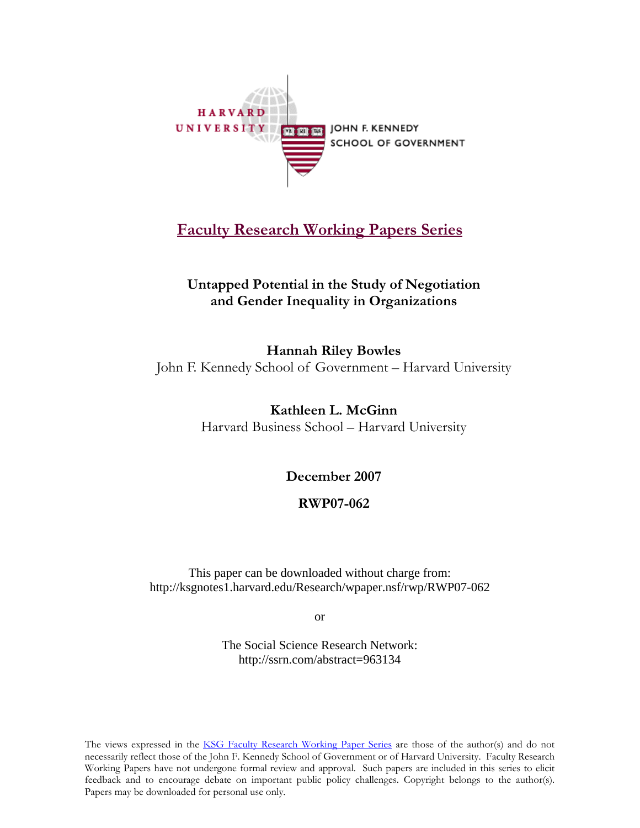

## **[Faculty Research Working Papers Series](http://www.ksg.harvard.edu/research/working_papers/index.htm)**

## **Untapped Potential in the Study of Negotiation and Gender Inequality in Organizations**

**Hannah Riley Bowles**  John F. Kennedy School of Government – Harvard University

> **Kathleen L. McGinn**  Harvard Business School – Harvard University

> > **December 2007**

### **RWP07-062**

This paper can be downloaded without charge from: http://ksgnotes1.harvard.edu/Research/wpaper.nsf/rwp/RWP07-062

or

The Social Science Research Network: http://ssrn.com/abstract=963134

The views expressed in the [KSG Faculty Research Working Paper Series](http://www.ksg.harvard.edu/research/working_papers/index.htm) are those of the author(s) and do not necessarily reflect those of the John F. Kennedy School of Government or of Harvard University. Faculty Research Working Papers have not undergone formal review and approval. Such papers are included in this series to elicit feedback and to encourage debate on important public policy challenges. Copyright belongs to the author(s). Papers may be downloaded for personal use only.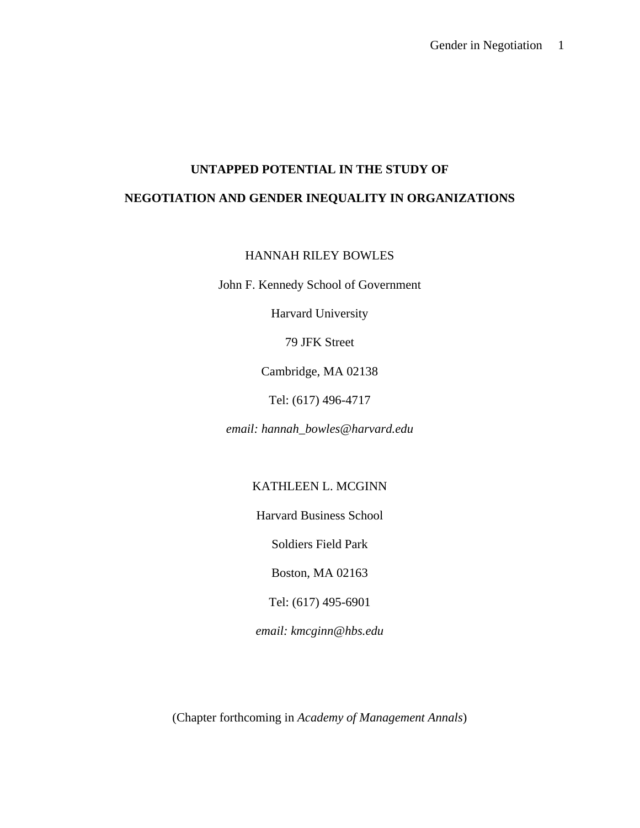# **UNTAPPED POTENTIAL IN THE STUDY OF NEGOTIATION AND GENDER INEQUALITY IN ORGANIZATIONS**

HANNAH RILEY BOWLES

John F. Kennedy School of Government

Harvard University

79 JFK Street

Cambridge, MA 02138

Tel: (617) 496-4717

*email: hannah\_bowles@harvard.edu*

KATHLEEN L. MCGINN

Harvard Business School

Soldiers Field Park

Boston, MA 02163

Tel: (617) 495-6901

*email: kmcginn@hbs.edu* 

(Chapter forthcoming in *Academy of Management Annals*)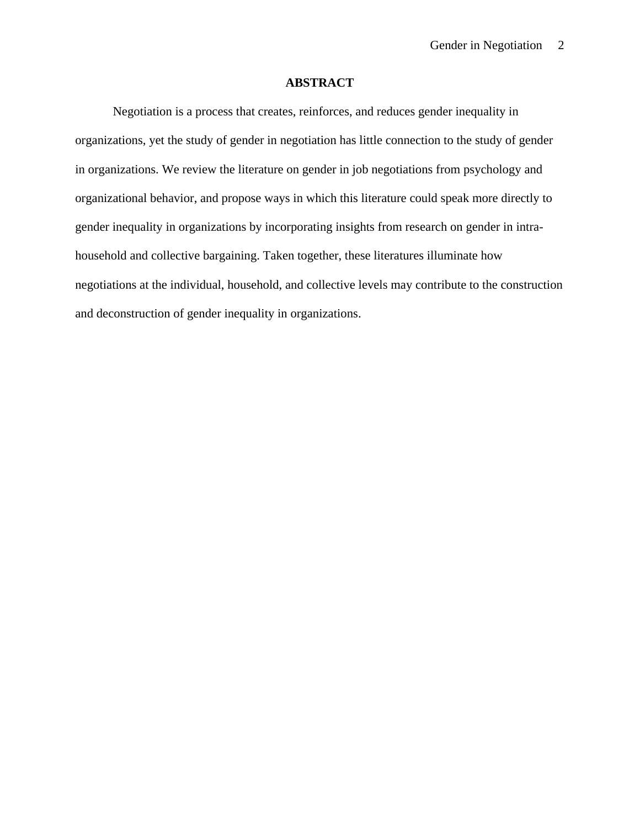#### **ABSTRACT**

Negotiation is a process that creates, reinforces, and reduces gender inequality in organizations, yet the study of gender in negotiation has little connection to the study of gender in organizations. We review the literature on gender in job negotiations from psychology and organizational behavior, and propose ways in which this literature could speak more directly to gender inequality in organizations by incorporating insights from research on gender in intrahousehold and collective bargaining. Taken together, these literatures illuminate how negotiations at the individual, household, and collective levels may contribute to the construction and deconstruction of gender inequality in organizations.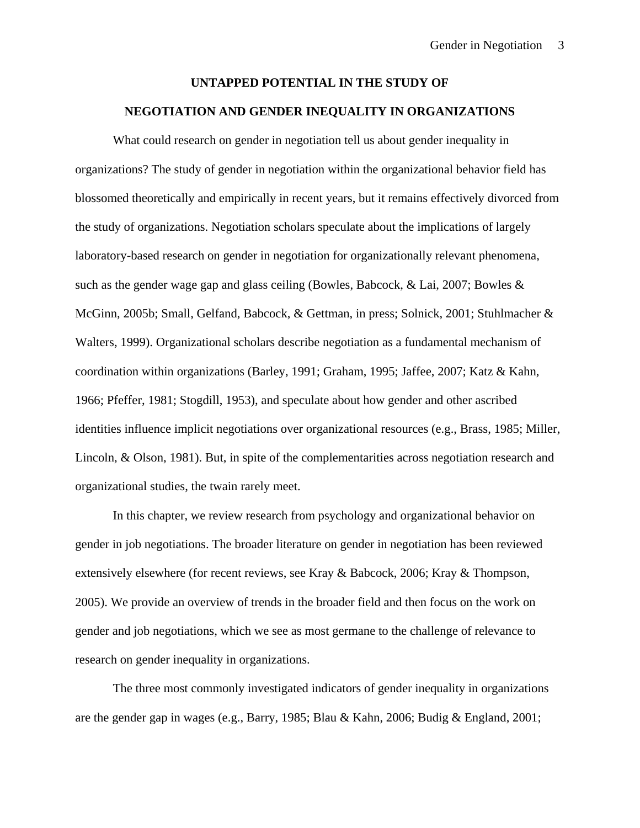# **UNTAPPED POTENTIAL IN THE STUDY OF NEGOTIATION AND GENDER INEQUALITY IN ORGANIZATIONS**

What could research on gender in negotiation tell us about gender inequality in organizations? The study of gender in negotiation within the organizational behavior field has blossomed theoretically and empirically in recent years, but it remains effectively divorced from the study of organizations. Negotiation scholars speculate about the implications of largely laboratory-based research on gender in negotiation for organizationally relevant phenomena, such as the gender wage gap and glass ceiling (Bowles, Babcock, & Lai, 2007; Bowles & McGinn, 2005b; Small, Gelfand, Babcock, & Gettman, in press; Solnick, 2001; Stuhlmacher & Walters, 1999). Organizational scholars describe negotiation as a fundamental mechanism of coordination within organizations (Barley, 1991; Graham, 1995; Jaffee, 2007; Katz & Kahn, 1966; Pfeffer, 1981; Stogdill, 1953), and speculate about how gender and other ascribed identities influence implicit negotiations over organizational resources (e.g., Brass, 1985; Miller, Lincoln, & Olson, 1981). But, in spite of the complementarities across negotiation research and organizational studies, the twain rarely meet.

In this chapter, we review research from psychology and organizational behavior on gender in job negotiations. The broader literature on gender in negotiation has been reviewed extensively elsewhere (for recent reviews, see Kray & Babcock, 2006; Kray & Thompson, 2005). We provide an overview of trends in the broader field and then focus on the work on gender and job negotiations, which we see as most germane to the challenge of relevance to research on gender inequality in organizations.

The three most commonly investigated indicators of gender inequality in organizations are the gender gap in wages (e.g., Barry, 1985; Blau & Kahn, 2006; Budig & England, 2001;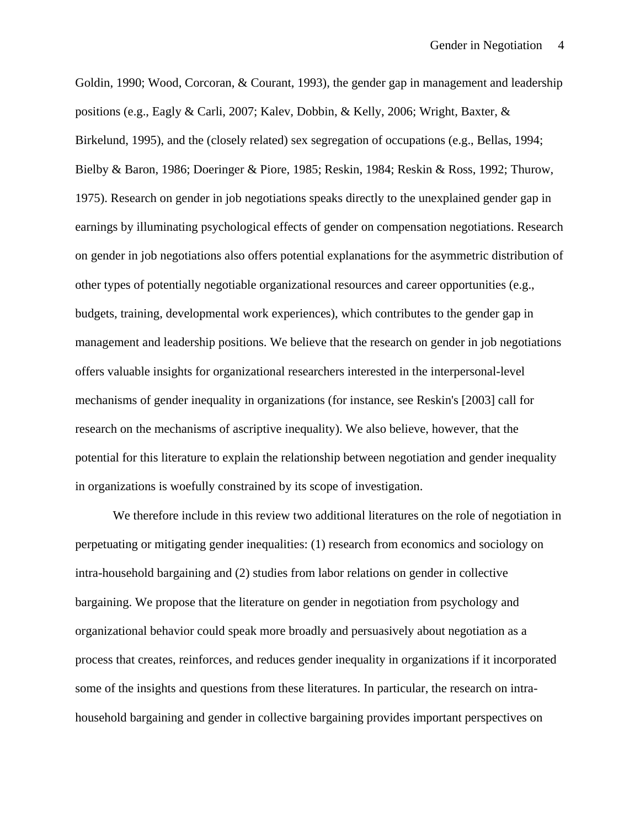Goldin, 1990; Wood, Corcoran, & Courant, 1993), the gender gap in management and leadership positions (e.g., Eagly & Carli, 2007; Kalev, Dobbin, & Kelly, 2006; Wright, Baxter, & Birkelund, 1995), and the (closely related) sex segregation of occupations (e.g., Bellas, 1994; Bielby & Baron, 1986; Doeringer & Piore, 1985; Reskin, 1984; Reskin & Ross, 1992; Thurow, 1975). Research on gender in job negotiations speaks directly to the unexplained gender gap in earnings by illuminating psychological effects of gender on compensation negotiations. Research on gender in job negotiations also offers potential explanations for the asymmetric distribution of other types of potentially negotiable organizational resources and career opportunities (e.g., budgets, training, developmental work experiences), which contributes to the gender gap in management and leadership positions. We believe that the research on gender in job negotiations offers valuable insights for organizational researchers interested in the interpersonal-level mechanisms of gender inequality in organizations (for instance, see Reskin's [2003] call for research on the mechanisms of ascriptive inequality). We also believe, however, that the potential for this literature to explain the relationship between negotiation and gender inequality in organizations is woefully constrained by its scope of investigation.

We therefore include in this review two additional literatures on the role of negotiation in perpetuating or mitigating gender inequalities: (1) research from economics and sociology on intra-household bargaining and (2) studies from labor relations on gender in collective bargaining. We propose that the literature on gender in negotiation from psychology and organizational behavior could speak more broadly and persuasively about negotiation as a process that creates, reinforces, and reduces gender inequality in organizations if it incorporated some of the insights and questions from these literatures. In particular, the research on intrahousehold bargaining and gender in collective bargaining provides important perspectives on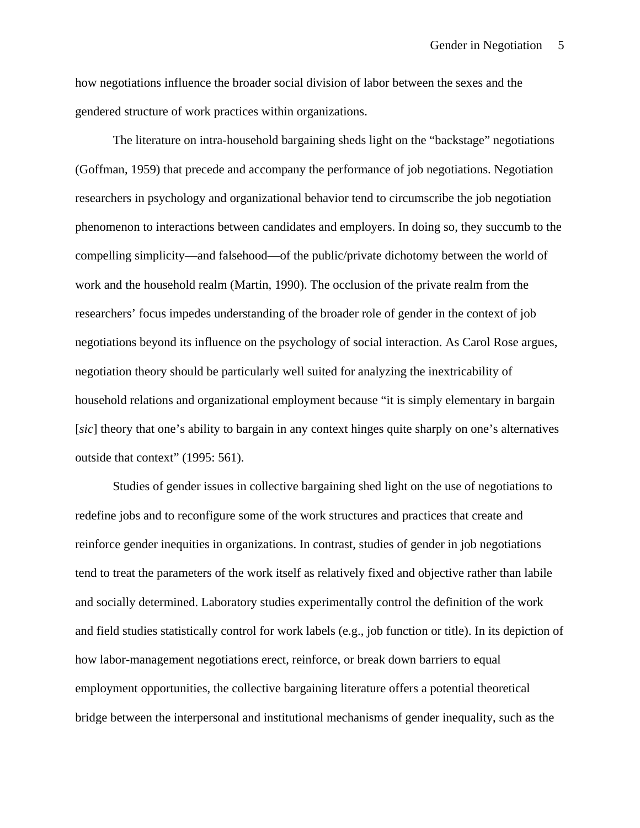how negotiations influence the broader social division of labor between the sexes and the gendered structure of work practices within organizations.

The literature on intra-household bargaining sheds light on the "backstage" negotiations (Goffman, 1959) that precede and accompany the performance of job negotiations. Negotiation researchers in psychology and organizational behavior tend to circumscribe the job negotiation phenomenon to interactions between candidates and employers. In doing so, they succumb to the compelling simplicity—and falsehood—of the public/private dichotomy between the world of work and the household realm (Martin, 1990). The occlusion of the private realm from the researchers' focus impedes understanding of the broader role of gender in the context of job negotiations beyond its influence on the psychology of social interaction. As Carol Rose argues, negotiation theory should be particularly well suited for analyzing the inextricability of household relations and organizational employment because "it is simply elementary in bargain [*sic*] theory that one's ability to bargain in any context hinges quite sharply on one's alternatives outside that context" (1995: 561).

Studies of gender issues in collective bargaining shed light on the use of negotiations to redefine jobs and to reconfigure some of the work structures and practices that create and reinforce gender inequities in organizations. In contrast, studies of gender in job negotiations tend to treat the parameters of the work itself as relatively fixed and objective rather than labile and socially determined. Laboratory studies experimentally control the definition of the work and field studies statistically control for work labels (e.g., job function or title). In its depiction of how labor-management negotiations erect, reinforce, or break down barriers to equal employment opportunities, the collective bargaining literature offers a potential theoretical bridge between the interpersonal and institutional mechanisms of gender inequality, such as the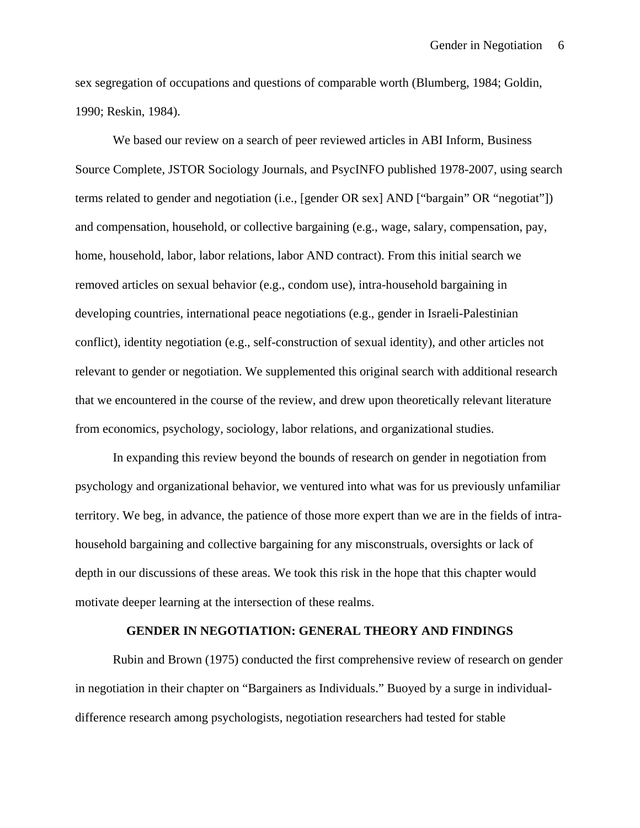sex segregation of occupations and questions of comparable worth (Blumberg, 1984; Goldin, 1990; Reskin, 1984).

We based our review on a search of peer reviewed articles in ABI Inform, Business Source Complete, JSTOR Sociology Journals, and PsycINFO published 1978-2007, using search terms related to gender and negotiation (i.e., [gender OR sex] AND ["bargain" OR "negotiat"]) and compensation, household, or collective bargaining (e.g., wage, salary, compensation, pay, home, household, labor, labor relations, labor AND contract). From this initial search we removed articles on sexual behavior (e.g., condom use), intra-household bargaining in developing countries, international peace negotiations (e.g., gender in Israeli-Palestinian conflict), identity negotiation (e.g., self-construction of sexual identity), and other articles not relevant to gender or negotiation. We supplemented this original search with additional research that we encountered in the course of the review, and drew upon theoretically relevant literature from economics, psychology, sociology, labor relations, and organizational studies.

In expanding this review beyond the bounds of research on gender in negotiation from psychology and organizational behavior, we ventured into what was for us previously unfamiliar territory. We beg, in advance, the patience of those more expert than we are in the fields of intrahousehold bargaining and collective bargaining for any misconstruals, oversights or lack of depth in our discussions of these areas. We took this risk in the hope that this chapter would motivate deeper learning at the intersection of these realms.

#### **GENDER IN NEGOTIATION: GENERAL THEORY AND FINDINGS**

Rubin and Brown (1975) conducted the first comprehensive review of research on gender in negotiation in their chapter on "Bargainers as Individuals." Buoyed by a surge in individualdifference research among psychologists, negotiation researchers had tested for stable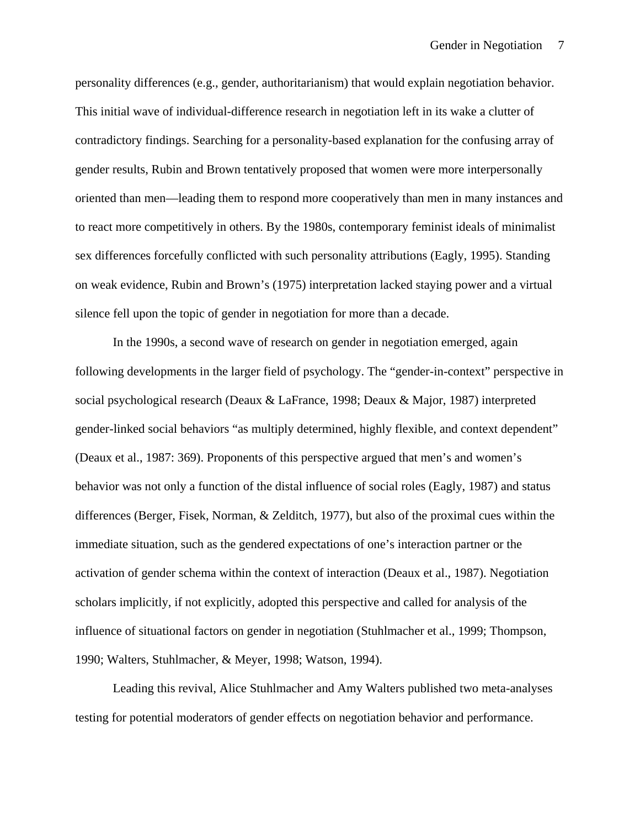personality differences (e.g., gender, authoritarianism) that would explain negotiation behavior. This initial wave of individual-difference research in negotiation left in its wake a clutter of contradictory findings. Searching for a personality-based explanation for the confusing array of gender results, Rubin and Brown tentatively proposed that women were more interpersonally oriented than men—leading them to respond more cooperatively than men in many instances and to react more competitively in others. By the 1980s, contemporary feminist ideals of minimalist sex differences forcefully conflicted with such personality attributions (Eagly, 1995). Standing on weak evidence, Rubin and Brown's (1975) interpretation lacked staying power and a virtual silence fell upon the topic of gender in negotiation for more than a decade.

In the 1990s, a second wave of research on gender in negotiation emerged, again following developments in the larger field of psychology. The "gender-in-context" perspective in social psychological research (Deaux & LaFrance, 1998; Deaux & Major, 1987) interpreted gender-linked social behaviors "as multiply determined, highly flexible, and context dependent" (Deaux et al., 1987: 369). Proponents of this perspective argued that men's and women's behavior was not only a function of the distal influence of social roles (Eagly, 1987) and status differences (Berger, Fisek, Norman, & Zelditch, 1977), but also of the proximal cues within the immediate situation, such as the gendered expectations of one's interaction partner or the activation of gender schema within the context of interaction (Deaux et al., 1987). Negotiation scholars implicitly, if not explicitly, adopted this perspective and called for analysis of the influence of situational factors on gender in negotiation (Stuhlmacher et al., 1999; Thompson, 1990; Walters, Stuhlmacher, & Meyer, 1998; Watson, 1994).

Leading this revival, Alice Stuhlmacher and Amy Walters published two meta-analyses testing for potential moderators of gender effects on negotiation behavior and performance.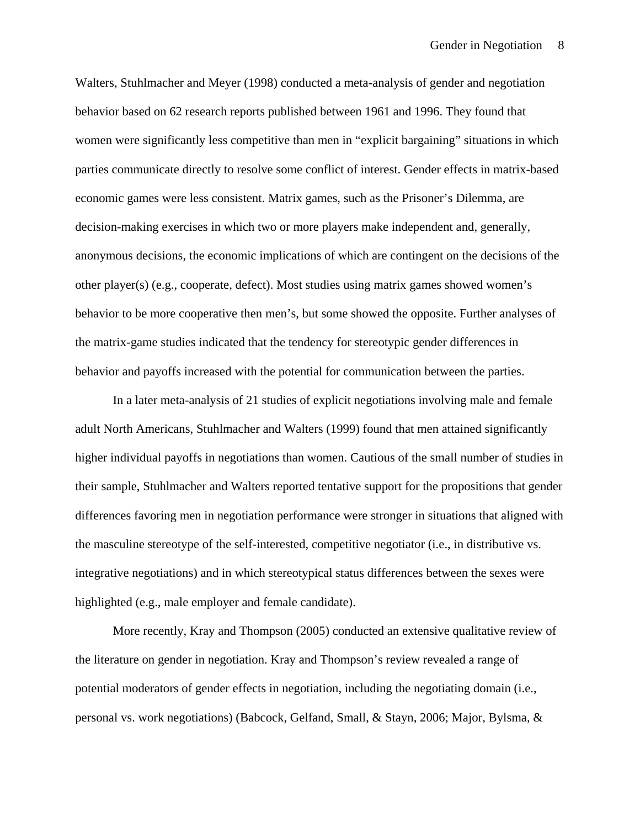Walters, Stuhlmacher and Meyer (1998) conducted a meta-analysis of gender and negotiation behavior based on 62 research reports published between 1961 and 1996. They found that women were significantly less competitive than men in "explicit bargaining" situations in which parties communicate directly to resolve some conflict of interest. Gender effects in matrix-based economic games were less consistent. Matrix games, such as the Prisoner's Dilemma, are decision-making exercises in which two or more players make independent and, generally, anonymous decisions, the economic implications of which are contingent on the decisions of the other player(s) (e.g., cooperate, defect). Most studies using matrix games showed women's behavior to be more cooperative then men's, but some showed the opposite. Further analyses of the matrix-game studies indicated that the tendency for stereotypic gender differences in behavior and payoffs increased with the potential for communication between the parties.

In a later meta-analysis of 21 studies of explicit negotiations involving male and female adult North Americans, Stuhlmacher and Walters (1999) found that men attained significantly higher individual payoffs in negotiations than women. Cautious of the small number of studies in their sample, Stuhlmacher and Walters reported tentative support for the propositions that gender differences favoring men in negotiation performance were stronger in situations that aligned with the masculine stereotype of the self-interested, competitive negotiator (i.e., in distributive vs. integrative negotiations) and in which stereotypical status differences between the sexes were highlighted (e.g., male employer and female candidate).

More recently, Kray and Thompson (2005) conducted an extensive qualitative review of the literature on gender in negotiation. Kray and Thompson's review revealed a range of potential moderators of gender effects in negotiation, including the negotiating domain (i.e., personal vs. work negotiations) (Babcock, Gelfand, Small, & Stayn, 2006; Major, Bylsma, &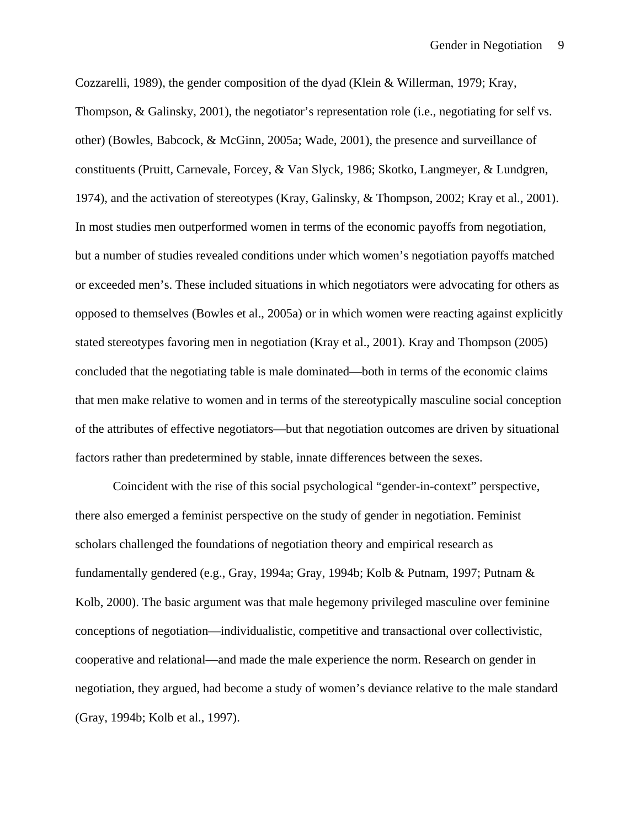Cozzarelli, 1989), the gender composition of the dyad (Klein & Willerman, 1979; Kray, Thompson, & Galinsky, 2001), the negotiator's representation role (i.e., negotiating for self vs. other) (Bowles, Babcock, & McGinn, 2005a; Wade, 2001), the presence and surveillance of constituents (Pruitt, Carnevale, Forcey, & Van Slyck, 1986; Skotko, Langmeyer, & Lundgren, 1974), and the activation of stereotypes (Kray, Galinsky, & Thompson, 2002; Kray et al., 2001). In most studies men outperformed women in terms of the economic payoffs from negotiation, but a number of studies revealed conditions under which women's negotiation payoffs matched or exceeded men's. These included situations in which negotiators were advocating for others as opposed to themselves (Bowles et al., 2005a) or in which women were reacting against explicitly stated stereotypes favoring men in negotiation (Kray et al., 2001). Kray and Thompson (2005) concluded that the negotiating table is male dominated—both in terms of the economic claims that men make relative to women and in terms of the stereotypically masculine social conception of the attributes of effective negotiators—but that negotiation outcomes are driven by situational factors rather than predetermined by stable, innate differences between the sexes.

Coincident with the rise of this social psychological "gender-in-context" perspective, there also emerged a feminist perspective on the study of gender in negotiation. Feminist scholars challenged the foundations of negotiation theory and empirical research as fundamentally gendered (e.g., Gray, 1994a; Gray, 1994b; Kolb & Putnam, 1997; Putnam & Kolb, 2000). The basic argument was that male hegemony privileged masculine over feminine conceptions of negotiation—individualistic, competitive and transactional over collectivistic, cooperative and relational—and made the male experience the norm. Research on gender in negotiation, they argued, had become a study of women's deviance relative to the male standard (Gray, 1994b; Kolb et al., 1997).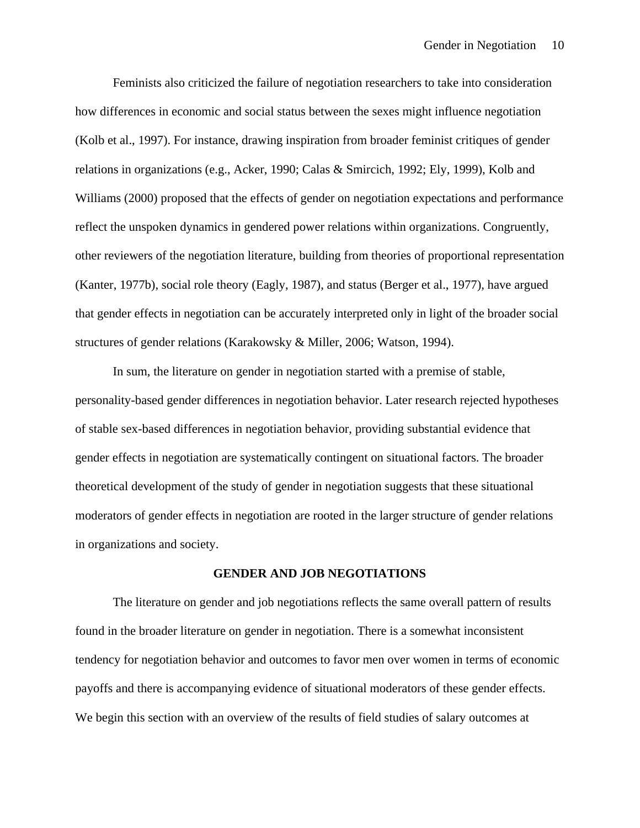Feminists also criticized the failure of negotiation researchers to take into consideration how differences in economic and social status between the sexes might influence negotiation (Kolb et al., 1997). For instance, drawing inspiration from broader feminist critiques of gender relations in organizations (e.g., Acker, 1990; Calas & Smircich, 1992; Ely, 1999), Kolb and Williams (2000) proposed that the effects of gender on negotiation expectations and performance reflect the unspoken dynamics in gendered power relations within organizations. Congruently, other reviewers of the negotiation literature, building from theories of proportional representation (Kanter, 1977b), social role theory (Eagly, 1987), and status (Berger et al., 1977), have argued that gender effects in negotiation can be accurately interpreted only in light of the broader social structures of gender relations (Karakowsky & Miller, 2006; Watson, 1994).

In sum, the literature on gender in negotiation started with a premise of stable, personality-based gender differences in negotiation behavior. Later research rejected hypotheses of stable sex-based differences in negotiation behavior, providing substantial evidence that gender effects in negotiation are systematically contingent on situational factors. The broader theoretical development of the study of gender in negotiation suggests that these situational moderators of gender effects in negotiation are rooted in the larger structure of gender relations in organizations and society.

#### **GENDER AND JOB NEGOTIATIONS**

The literature on gender and job negotiations reflects the same overall pattern of results found in the broader literature on gender in negotiation. There is a somewhat inconsistent tendency for negotiation behavior and outcomes to favor men over women in terms of economic payoffs and there is accompanying evidence of situational moderators of these gender effects. We begin this section with an overview of the results of field studies of salary outcomes at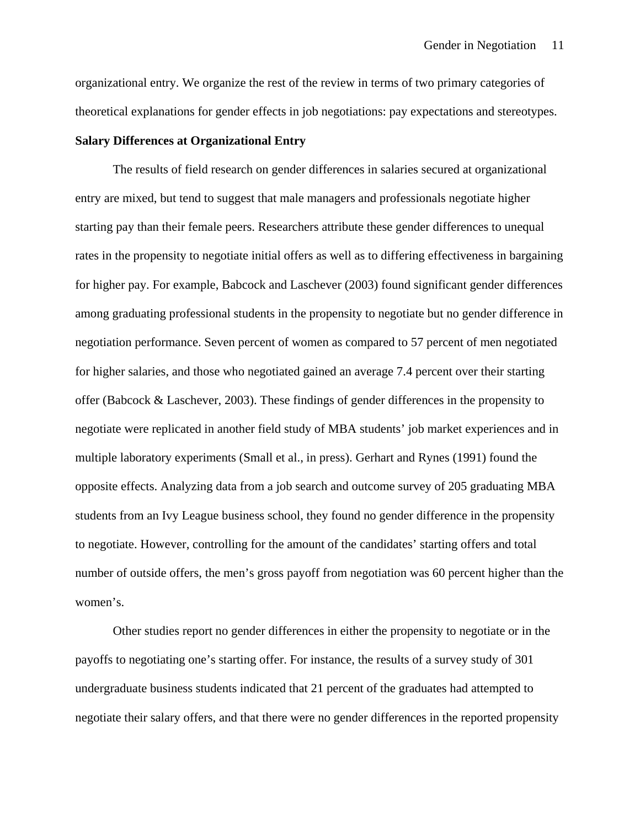organizational entry. We organize the rest of the review in terms of two primary categories of theoretical explanations for gender effects in job negotiations: pay expectations and stereotypes.

#### **Salary Differences at Organizational Entry**

The results of field research on gender differences in salaries secured at organizational entry are mixed, but tend to suggest that male managers and professionals negotiate higher starting pay than their female peers. Researchers attribute these gender differences to unequal rates in the propensity to negotiate initial offers as well as to differing effectiveness in bargaining for higher pay. For example, Babcock and Laschever (2003) found significant gender differences among graduating professional students in the propensity to negotiate but no gender difference in negotiation performance. Seven percent of women as compared to 57 percent of men negotiated for higher salaries, and those who negotiated gained an average 7.4 percent over their starting offer (Babcock & Laschever, 2003). These findings of gender differences in the propensity to negotiate were replicated in another field study of MBA students' job market experiences and in multiple laboratory experiments (Small et al., in press). Gerhart and Rynes (1991) found the opposite effects. Analyzing data from a job search and outcome survey of 205 graduating MBA students from an Ivy League business school, they found no gender difference in the propensity to negotiate. However, controlling for the amount of the candidates' starting offers and total number of outside offers, the men's gross payoff from negotiation was 60 percent higher than the women's.

Other studies report no gender differences in either the propensity to negotiate or in the payoffs to negotiating one's starting offer. For instance, the results of a survey study of 301 undergraduate business students indicated that 21 percent of the graduates had attempted to negotiate their salary offers, and that there were no gender differences in the reported propensity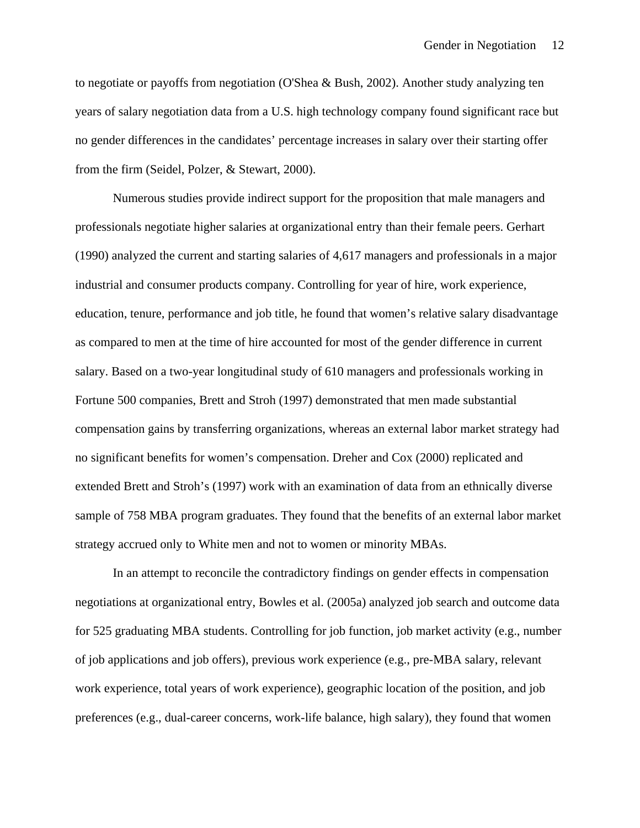to negotiate or payoffs from negotiation (O'Shea & Bush, 2002). Another study analyzing ten years of salary negotiation data from a U.S. high technology company found significant race but no gender differences in the candidates' percentage increases in salary over their starting offer from the firm (Seidel, Polzer, & Stewart, 2000).

Numerous studies provide indirect support for the proposition that male managers and professionals negotiate higher salaries at organizational entry than their female peers. Gerhart (1990) analyzed the current and starting salaries of 4,617 managers and professionals in a major industrial and consumer products company. Controlling for year of hire, work experience, education, tenure, performance and job title, he found that women's relative salary disadvantage as compared to men at the time of hire accounted for most of the gender difference in current salary. Based on a two-year longitudinal study of 610 managers and professionals working in Fortune 500 companies, Brett and Stroh (1997) demonstrated that men made substantial compensation gains by transferring organizations, whereas an external labor market strategy had no significant benefits for women's compensation. Dreher and Cox (2000) replicated and extended Brett and Stroh's (1997) work with an examination of data from an ethnically diverse sample of 758 MBA program graduates. They found that the benefits of an external labor market strategy accrued only to White men and not to women or minority MBAs.

In an attempt to reconcile the contradictory findings on gender effects in compensation negotiations at organizational entry, Bowles et al. (2005a) analyzed job search and outcome data for 525 graduating MBA students. Controlling for job function, job market activity (e.g., number of job applications and job offers), previous work experience (e.g., pre-MBA salary, relevant work experience, total years of work experience), geographic location of the position, and job preferences (e.g., dual-career concerns, work-life balance, high salary), they found that women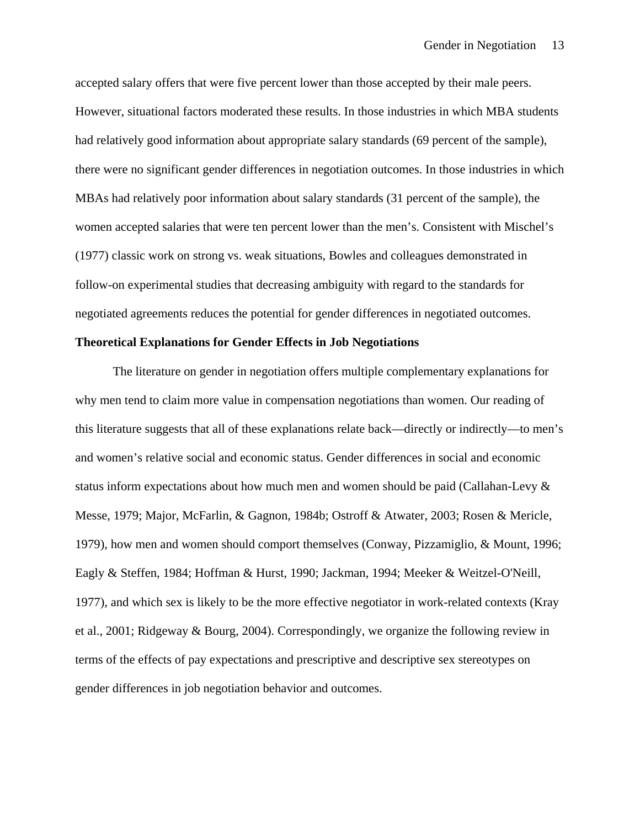accepted salary offers that were five percent lower than those accepted by their male peers. However, situational factors moderated these results. In those industries in which MBA students had relatively good information about appropriate salary standards (69 percent of the sample), there were no significant gender differences in negotiation outcomes. In those industries in which MBAs had relatively poor information about salary standards (31 percent of the sample), the women accepted salaries that were ten percent lower than the men's. Consistent with Mischel's (1977) classic work on strong vs. weak situations, Bowles and colleagues demonstrated in follow-on experimental studies that decreasing ambiguity with regard to the standards for negotiated agreements reduces the potential for gender differences in negotiated outcomes.

#### **Theoretical Explanations for Gender Effects in Job Negotiations**

The literature on gender in negotiation offers multiple complementary explanations for why men tend to claim more value in compensation negotiations than women. Our reading of this literature suggests that all of these explanations relate back—directly or indirectly—to men's and women's relative social and economic status. Gender differences in social and economic status inform expectations about how much men and women should be paid (Callahan-Levy  $\&$ Messe, 1979; Major, McFarlin, & Gagnon, 1984b; Ostroff & Atwater, 2003; Rosen & Mericle, 1979), how men and women should comport themselves (Conway, Pizzamiglio, & Mount, 1996; Eagly & Steffen, 1984; Hoffman & Hurst, 1990; Jackman, 1994; Meeker & Weitzel-O'Neill, 1977), and which sex is likely to be the more effective negotiator in work-related contexts (Kray et al., 2001; Ridgeway & Bourg, 2004). Correspondingly, we organize the following review in terms of the effects of pay expectations and prescriptive and descriptive sex stereotypes on gender differences in job negotiation behavior and outcomes.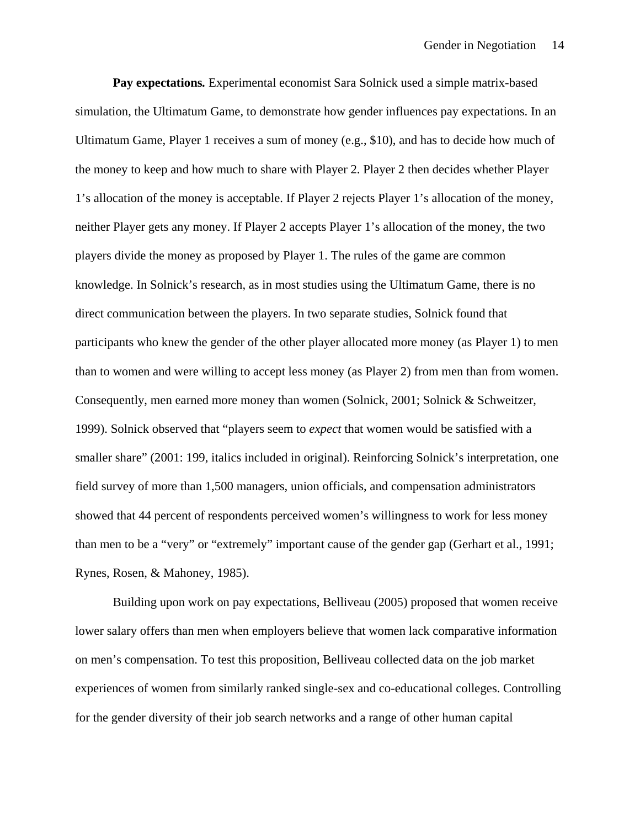**Pay expectations***.* Experimental economist Sara Solnick used a simple matrix-based simulation, the Ultimatum Game, to demonstrate how gender influences pay expectations. In an Ultimatum Game, Player 1 receives a sum of money (e.g., \$10), and has to decide how much of the money to keep and how much to share with Player 2. Player 2 then decides whether Player 1's allocation of the money is acceptable. If Player 2 rejects Player 1's allocation of the money, neither Player gets any money. If Player 2 accepts Player 1's allocation of the money, the two players divide the money as proposed by Player 1. The rules of the game are common knowledge. In Solnick's research, as in most studies using the Ultimatum Game, there is no direct communication between the players. In two separate studies, Solnick found that participants who knew the gender of the other player allocated more money (as Player 1) to men than to women and were willing to accept less money (as Player 2) from men than from women. Consequently, men earned more money than women (Solnick, 2001; Solnick & Schweitzer, 1999). Solnick observed that "players seem to *expect* that women would be satisfied with a smaller share" (2001: 199, italics included in original). Reinforcing Solnick's interpretation, one field survey of more than 1,500 managers, union officials, and compensation administrators showed that 44 percent of respondents perceived women's willingness to work for less money than men to be a "very" or "extremely" important cause of the gender gap (Gerhart et al., 1991; Rynes, Rosen, & Mahoney, 1985).

Building upon work on pay expectations, Belliveau (2005) proposed that women receive lower salary offers than men when employers believe that women lack comparative information on men's compensation. To test this proposition, Belliveau collected data on the job market experiences of women from similarly ranked single-sex and co-educational colleges. Controlling for the gender diversity of their job search networks and a range of other human capital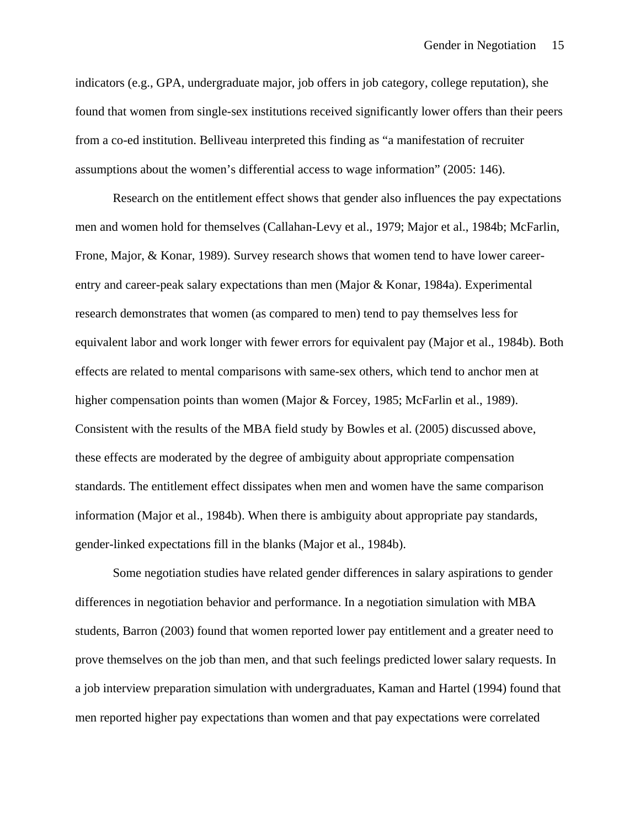indicators (e.g., GPA, undergraduate major, job offers in job category, college reputation), she found that women from single-sex institutions received significantly lower offers than their peers from a co-ed institution. Belliveau interpreted this finding as "a manifestation of recruiter assumptions about the women's differential access to wage information" (2005: 146).

Research on the entitlement effect shows that gender also influences the pay expectations men and women hold for themselves (Callahan-Levy et al., 1979; Major et al., 1984b; McFarlin, Frone, Major, & Konar, 1989). Survey research shows that women tend to have lower careerentry and career-peak salary expectations than men (Major & Konar, 1984a). Experimental research demonstrates that women (as compared to men) tend to pay themselves less for equivalent labor and work longer with fewer errors for equivalent pay (Major et al., 1984b). Both effects are related to mental comparisons with same-sex others, which tend to anchor men at higher compensation points than women (Major & Forcey, 1985; McFarlin et al., 1989). Consistent with the results of the MBA field study by Bowles et al. (2005) discussed above, these effects are moderated by the degree of ambiguity about appropriate compensation standards. The entitlement effect dissipates when men and women have the same comparison information (Major et al., 1984b). When there is ambiguity about appropriate pay standards, gender-linked expectations fill in the blanks (Major et al., 1984b).

Some negotiation studies have related gender differences in salary aspirations to gender differences in negotiation behavior and performance. In a negotiation simulation with MBA students, Barron (2003) found that women reported lower pay entitlement and a greater need to prove themselves on the job than men, and that such feelings predicted lower salary requests. In a job interview preparation simulation with undergraduates, Kaman and Hartel (1994) found that men reported higher pay expectations than women and that pay expectations were correlated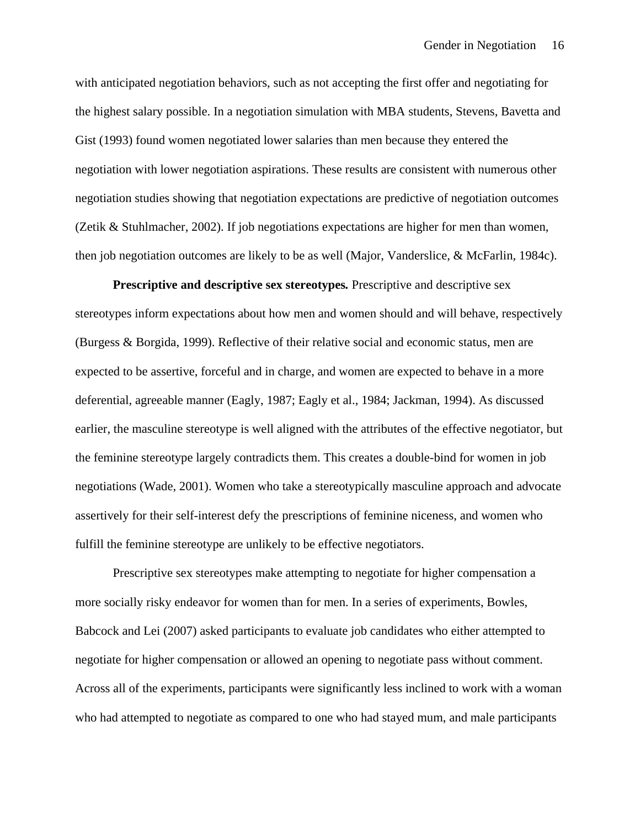with anticipated negotiation behaviors, such as not accepting the first offer and negotiating for the highest salary possible. In a negotiation simulation with MBA students, Stevens, Bavetta and Gist (1993) found women negotiated lower salaries than men because they entered the negotiation with lower negotiation aspirations. These results are consistent with numerous other negotiation studies showing that negotiation expectations are predictive of negotiation outcomes (Zetik & Stuhlmacher, 2002). If job negotiations expectations are higher for men than women, then job negotiation outcomes are likely to be as well (Major, Vanderslice, & McFarlin, 1984c).

**Prescriptive and descriptive sex stereotypes***.* Prescriptive and descriptive sex stereotypes inform expectations about how men and women should and will behave, respectively (Burgess & Borgida, 1999). Reflective of their relative social and economic status, men are expected to be assertive, forceful and in charge, and women are expected to behave in a more deferential, agreeable manner (Eagly, 1987; Eagly et al., 1984; Jackman, 1994). As discussed earlier, the masculine stereotype is well aligned with the attributes of the effective negotiator, but the feminine stereotype largely contradicts them. This creates a double-bind for women in job negotiations (Wade, 2001). Women who take a stereotypically masculine approach and advocate assertively for their self-interest defy the prescriptions of feminine niceness, and women who fulfill the feminine stereotype are unlikely to be effective negotiators.

Prescriptive sex stereotypes make attempting to negotiate for higher compensation a more socially risky endeavor for women than for men. In a series of experiments, Bowles, Babcock and Lei (2007) asked participants to evaluate job candidates who either attempted to negotiate for higher compensation or allowed an opening to negotiate pass without comment. Across all of the experiments, participants were significantly less inclined to work with a woman who had attempted to negotiate as compared to one who had stayed mum, and male participants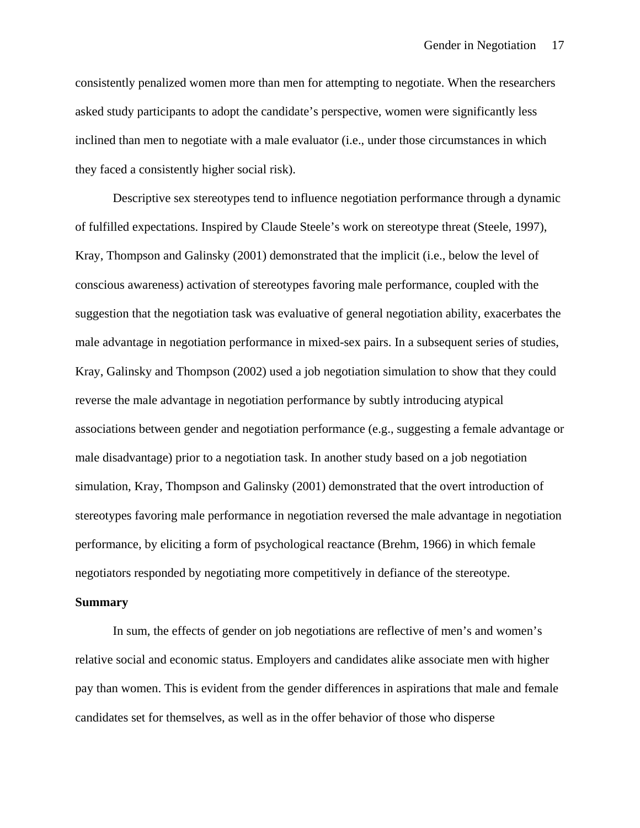consistently penalized women more than men for attempting to negotiate. When the researchers asked study participants to adopt the candidate's perspective, women were significantly less inclined than men to negotiate with a male evaluator (i.e., under those circumstances in which they faced a consistently higher social risk).

Descriptive sex stereotypes tend to influence negotiation performance through a dynamic of fulfilled expectations. Inspired by Claude Steele's work on stereotype threat (Steele, 1997), Kray, Thompson and Galinsky (2001) demonstrated that the implicit (i.e., below the level of conscious awareness) activation of stereotypes favoring male performance, coupled with the suggestion that the negotiation task was evaluative of general negotiation ability, exacerbates the male advantage in negotiation performance in mixed-sex pairs. In a subsequent series of studies, Kray, Galinsky and Thompson (2002) used a job negotiation simulation to show that they could reverse the male advantage in negotiation performance by subtly introducing atypical associations between gender and negotiation performance (e.g., suggesting a female advantage or male disadvantage) prior to a negotiation task. In another study based on a job negotiation simulation, Kray, Thompson and Galinsky (2001) demonstrated that the overt introduction of stereotypes favoring male performance in negotiation reversed the male advantage in negotiation performance, by eliciting a form of psychological reactance (Brehm, 1966) in which female negotiators responded by negotiating more competitively in defiance of the stereotype.

#### **Summary**

In sum, the effects of gender on job negotiations are reflective of men's and women's relative social and economic status. Employers and candidates alike associate men with higher pay than women. This is evident from the gender differences in aspirations that male and female candidates set for themselves, as well as in the offer behavior of those who disperse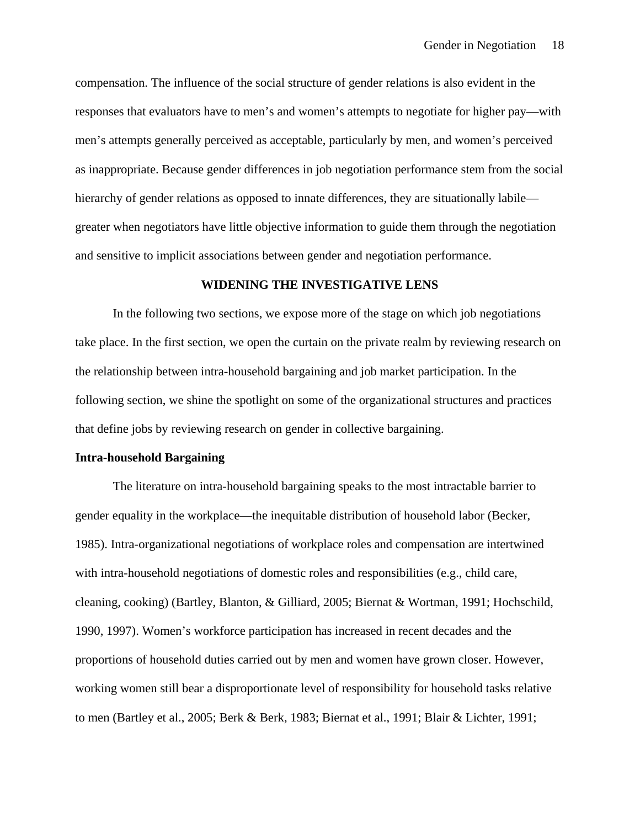compensation. The influence of the social structure of gender relations is also evident in the responses that evaluators have to men's and women's attempts to negotiate for higher pay—with men's attempts generally perceived as acceptable, particularly by men, and women's perceived as inappropriate. Because gender differences in job negotiation performance stem from the social hierarchy of gender relations as opposed to innate differences, they are situationally labile greater when negotiators have little objective information to guide them through the negotiation and sensitive to implicit associations between gender and negotiation performance.

#### **WIDENING THE INVESTIGATIVE LENS**

 In the following two sections, we expose more of the stage on which job negotiations take place. In the first section, we open the curtain on the private realm by reviewing research on the relationship between intra-household bargaining and job market participation. In the following section, we shine the spotlight on some of the organizational structures and practices that define jobs by reviewing research on gender in collective bargaining.

#### **Intra-household Bargaining**

The literature on intra-household bargaining speaks to the most intractable barrier to gender equality in the workplace—the inequitable distribution of household labor (Becker, 1985). Intra-organizational negotiations of workplace roles and compensation are intertwined with intra-household negotiations of domestic roles and responsibilities (e.g., child care, cleaning, cooking) (Bartley, Blanton, & Gilliard, 2005; Biernat & Wortman, 1991; Hochschild, 1990, 1997). Women's workforce participation has increased in recent decades and the proportions of household duties carried out by men and women have grown closer. However, working women still bear a disproportionate level of responsibility for household tasks relative to men (Bartley et al., 2005; Berk & Berk, 1983; Biernat et al., 1991; Blair & Lichter, 1991;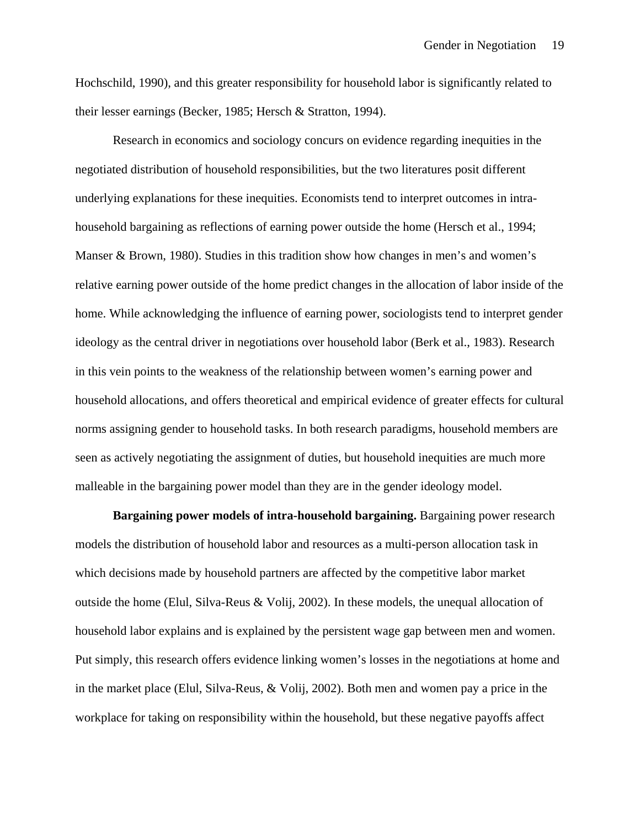Hochschild, 1990), and this greater responsibility for household labor is significantly related to their lesser earnings (Becker, 1985; Hersch & Stratton, 1994).

Research in economics and sociology concurs on evidence regarding inequities in the negotiated distribution of household responsibilities, but the two literatures posit different underlying explanations for these inequities. Economists tend to interpret outcomes in intrahousehold bargaining as reflections of earning power outside the home (Hersch et al., 1994; Manser & Brown, 1980). Studies in this tradition show how changes in men's and women's relative earning power outside of the home predict changes in the allocation of labor inside of the home. While acknowledging the influence of earning power, sociologists tend to interpret gender ideology as the central driver in negotiations over household labor (Berk et al., 1983). Research in this vein points to the weakness of the relationship between women's earning power and household allocations, and offers theoretical and empirical evidence of greater effects for cultural norms assigning gender to household tasks. In both research paradigms, household members are seen as actively negotiating the assignment of duties, but household inequities are much more malleable in the bargaining power model than they are in the gender ideology model.

**Bargaining power models of intra-household bargaining.** Bargaining power research models the distribution of household labor and resources as a multi-person allocation task in which decisions made by household partners are affected by the competitive labor market outside the home (Elul, Silva-Reus & Volij, 2002). In these models, the unequal allocation of household labor explains and is explained by the persistent wage gap between men and women. Put simply, this research offers evidence linking women's losses in the negotiations at home and in the market place (Elul, Silva-Reus, & Volij, 2002). Both men and women pay a price in the workplace for taking on responsibility within the household, but these negative payoffs affect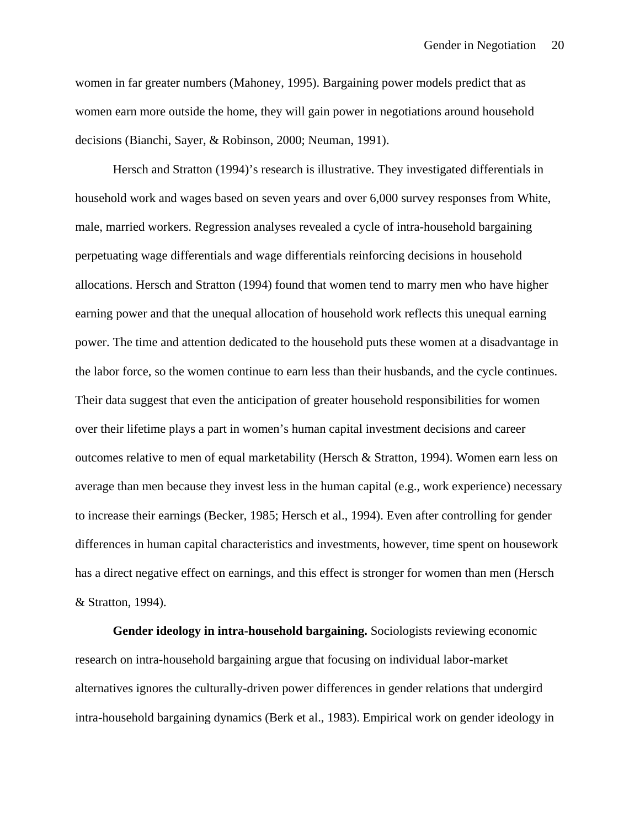women in far greater numbers (Mahoney, 1995). Bargaining power models predict that as women earn more outside the home, they will gain power in negotiations around household decisions (Bianchi, Sayer, & Robinson, 2000; Neuman, 1991).

Hersch and Stratton (1994)'s research is illustrative. They investigated differentials in household work and wages based on seven years and over 6,000 survey responses from White, male, married workers. Regression analyses revealed a cycle of intra-household bargaining perpetuating wage differentials and wage differentials reinforcing decisions in household allocations. Hersch and Stratton (1994) found that women tend to marry men who have higher earning power and that the unequal allocation of household work reflects this unequal earning power. The time and attention dedicated to the household puts these women at a disadvantage in the labor force, so the women continue to earn less than their husbands, and the cycle continues. Their data suggest that even the anticipation of greater household responsibilities for women over their lifetime plays a part in women's human capital investment decisions and career outcomes relative to men of equal marketability (Hersch & Stratton, 1994). Women earn less on average than men because they invest less in the human capital (e.g., work experience) necessary to increase their earnings (Becker, 1985; Hersch et al., 1994). Even after controlling for gender differences in human capital characteristics and investments, however, time spent on housework has a direct negative effect on earnings, and this effect is stronger for women than men (Hersch & Stratton, 1994).

**Gender ideology in intra-household bargaining.** Sociologists reviewing economic research on intra-household bargaining argue that focusing on individual labor-market alternatives ignores the culturally-driven power differences in gender relations that undergird intra-household bargaining dynamics (Berk et al., 1983). Empirical work on gender ideology in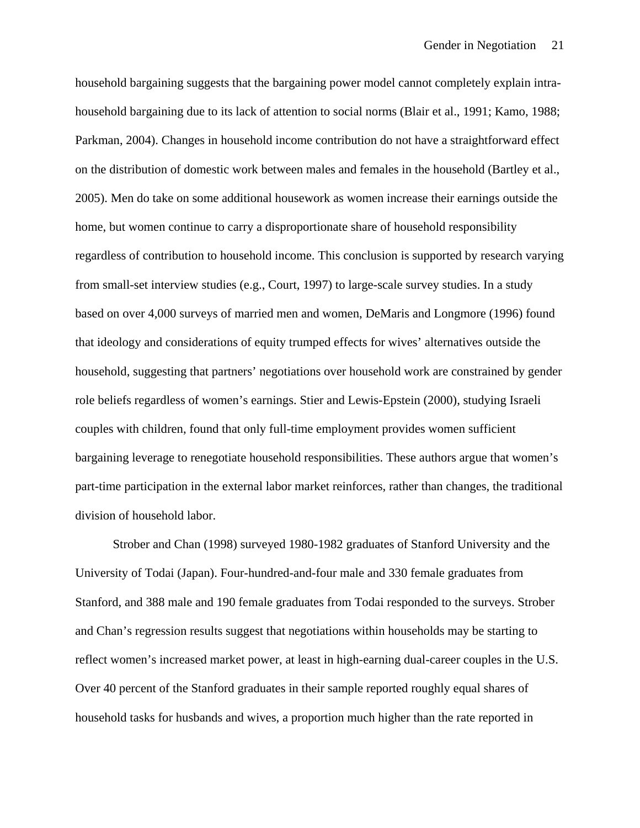household bargaining suggests that the bargaining power model cannot completely explain intrahousehold bargaining due to its lack of attention to social norms (Blair et al., 1991; Kamo, 1988; Parkman, 2004). Changes in household income contribution do not have a straightforward effect on the distribution of domestic work between males and females in the household (Bartley et al., 2005). Men do take on some additional housework as women increase their earnings outside the home, but women continue to carry a disproportionate share of household responsibility regardless of contribution to household income. This conclusion is supported by research varying from small-set interview studies (e.g., Court, 1997) to large-scale survey studies. In a study based on over 4,000 surveys of married men and women, DeMaris and Longmore (1996) found that ideology and considerations of equity trumped effects for wives' alternatives outside the household, suggesting that partners' negotiations over household work are constrained by gender role beliefs regardless of women's earnings. Stier and Lewis-Epstein (2000), studying Israeli couples with children, found that only full-time employment provides women sufficient bargaining leverage to renegotiate household responsibilities. These authors argue that women's part-time participation in the external labor market reinforces, rather than changes, the traditional division of household labor.

Strober and Chan (1998) surveyed 1980-1982 graduates of Stanford University and the University of Todai (Japan). Four-hundred-and-four male and 330 female graduates from Stanford, and 388 male and 190 female graduates from Todai responded to the surveys. Strober and Chan's regression results suggest that negotiations within households may be starting to reflect women's increased market power, at least in high-earning dual-career couples in the U.S. Over 40 percent of the Stanford graduates in their sample reported roughly equal shares of household tasks for husbands and wives, a proportion much higher than the rate reported in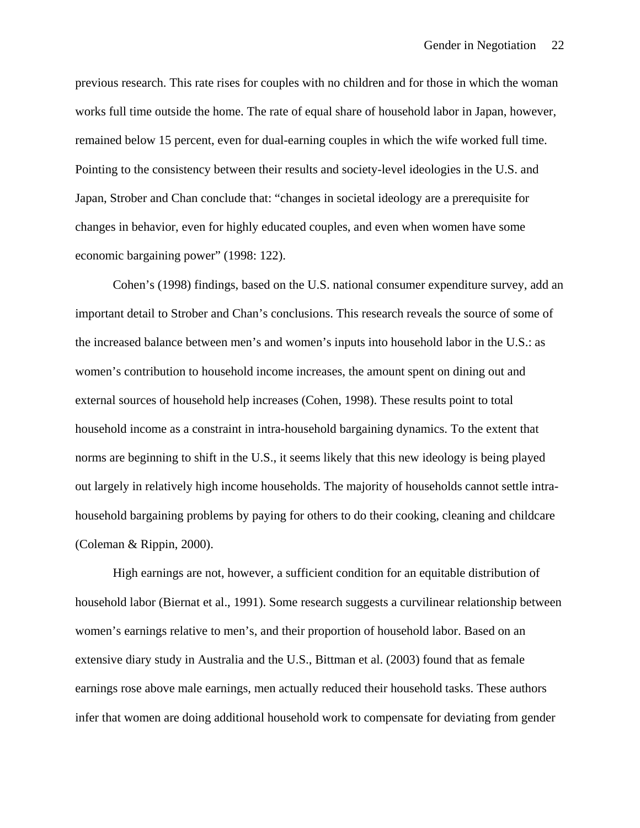previous research. This rate rises for couples with no children and for those in which the woman works full time outside the home. The rate of equal share of household labor in Japan, however, remained below 15 percent, even for dual-earning couples in which the wife worked full time. Pointing to the consistency between their results and society-level ideologies in the U.S. and Japan, Strober and Chan conclude that: "changes in societal ideology are a prerequisite for changes in behavior, even for highly educated couples, and even when women have some economic bargaining power" (1998: 122).

Cohen's (1998) findings, based on the U.S. national consumer expenditure survey, add an important detail to Strober and Chan's conclusions. This research reveals the source of some of the increased balance between men's and women's inputs into household labor in the U.S.: as women's contribution to household income increases, the amount spent on dining out and external sources of household help increases (Cohen, 1998). These results point to total household income as a constraint in intra-household bargaining dynamics. To the extent that norms are beginning to shift in the U.S., it seems likely that this new ideology is being played out largely in relatively high income households. The majority of households cannot settle intrahousehold bargaining problems by paying for others to do their cooking, cleaning and childcare (Coleman & Rippin, 2000).

High earnings are not, however, a sufficient condition for an equitable distribution of household labor (Biernat et al., 1991). Some research suggests a curvilinear relationship between women's earnings relative to men's, and their proportion of household labor. Based on an extensive diary study in Australia and the U.S., Bittman et al. (2003) found that as female earnings rose above male earnings, men actually reduced their household tasks. These authors infer that women are doing additional household work to compensate for deviating from gender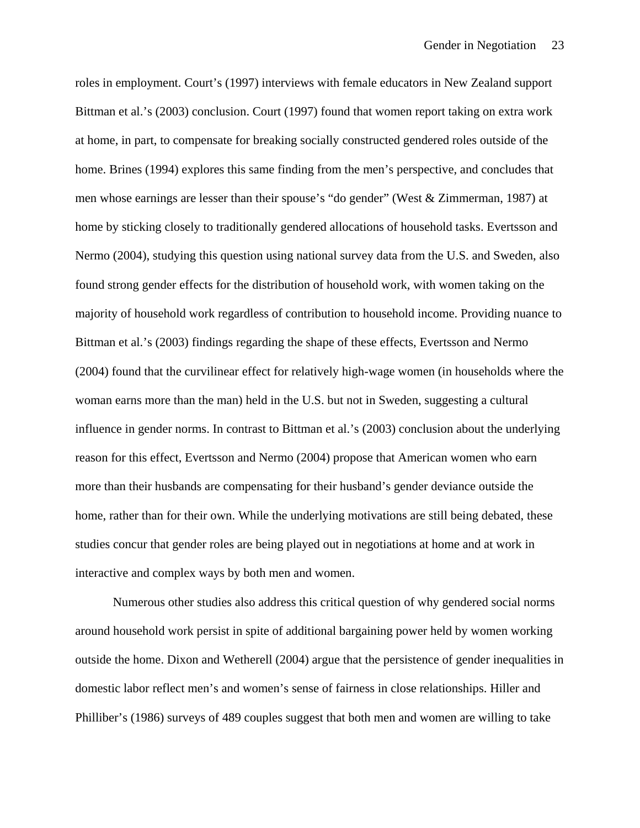roles in employment. Court's (1997) interviews with female educators in New Zealand support Bittman et al.'s (2003) conclusion. Court (1997) found that women report taking on extra work at home, in part, to compensate for breaking socially constructed gendered roles outside of the home. Brines (1994) explores this same finding from the men's perspective, and concludes that men whose earnings are lesser than their spouse's "do gender" (West & Zimmerman, 1987) at home by sticking closely to traditionally gendered allocations of household tasks. Evertsson and Nermo (2004), studying this question using national survey data from the U.S. and Sweden, also found strong gender effects for the distribution of household work, with women taking on the majority of household work regardless of contribution to household income. Providing nuance to Bittman et al.'s (2003) findings regarding the shape of these effects, Evertsson and Nermo (2004) found that the curvilinear effect for relatively high-wage women (in households where the woman earns more than the man) held in the U.S. but not in Sweden, suggesting a cultural influence in gender norms. In contrast to Bittman et al.'s (2003) conclusion about the underlying reason for this effect, Evertsson and Nermo (2004) propose that American women who earn more than their husbands are compensating for their husband's gender deviance outside the home, rather than for their own. While the underlying motivations are still being debated, these studies concur that gender roles are being played out in negotiations at home and at work in interactive and complex ways by both men and women.

Numerous other studies also address this critical question of why gendered social norms around household work persist in spite of additional bargaining power held by women working outside the home. Dixon and Wetherell (2004) argue that the persistence of gender inequalities in domestic labor reflect men's and women's sense of fairness in close relationships. Hiller and Philliber's (1986) surveys of 489 couples suggest that both men and women are willing to take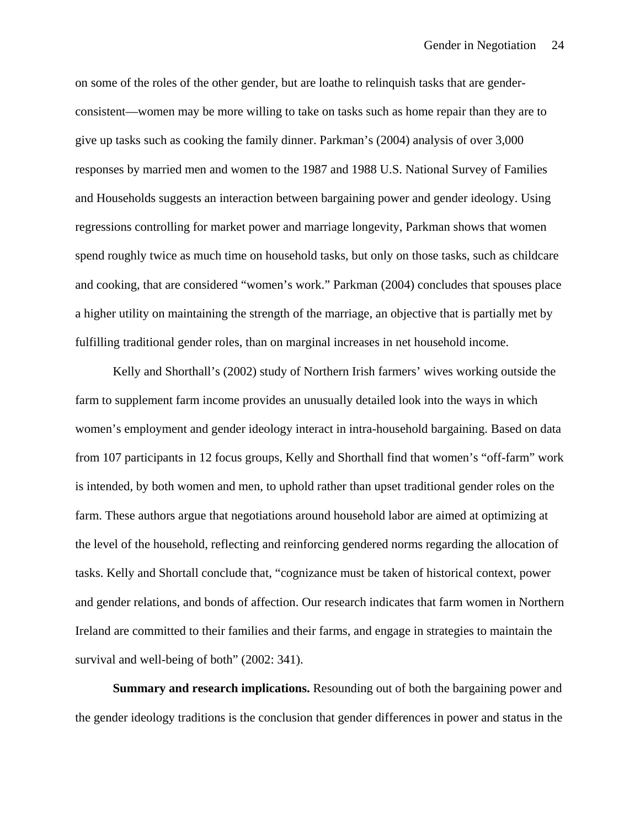on some of the roles of the other gender, but are loathe to relinquish tasks that are genderconsistent—women may be more willing to take on tasks such as home repair than they are to give up tasks such as cooking the family dinner. Parkman's (2004) analysis of over 3,000 responses by married men and women to the 1987 and 1988 U.S. National Survey of Families and Households suggests an interaction between bargaining power and gender ideology. Using regressions controlling for market power and marriage longevity, Parkman shows that women spend roughly twice as much time on household tasks, but only on those tasks, such as childcare and cooking, that are considered "women's work." Parkman (2004) concludes that spouses place a higher utility on maintaining the strength of the marriage, an objective that is partially met by fulfilling traditional gender roles, than on marginal increases in net household income.

Kelly and Shorthall's (2002) study of Northern Irish farmers' wives working outside the farm to supplement farm income provides an unusually detailed look into the ways in which women's employment and gender ideology interact in intra-household bargaining. Based on data from 107 participants in 12 focus groups, Kelly and Shorthall find that women's "off-farm" work is intended, by both women and men, to uphold rather than upset traditional gender roles on the farm. These authors argue that negotiations around household labor are aimed at optimizing at the level of the household, reflecting and reinforcing gendered norms regarding the allocation of tasks. Kelly and Shortall conclude that, "cognizance must be taken of historical context, power and gender relations, and bonds of affection. Our research indicates that farm women in Northern Ireland are committed to their families and their farms, and engage in strategies to maintain the survival and well-being of both" (2002: 341).

**Summary and research implications.** Resounding out of both the bargaining power and the gender ideology traditions is the conclusion that gender differences in power and status in the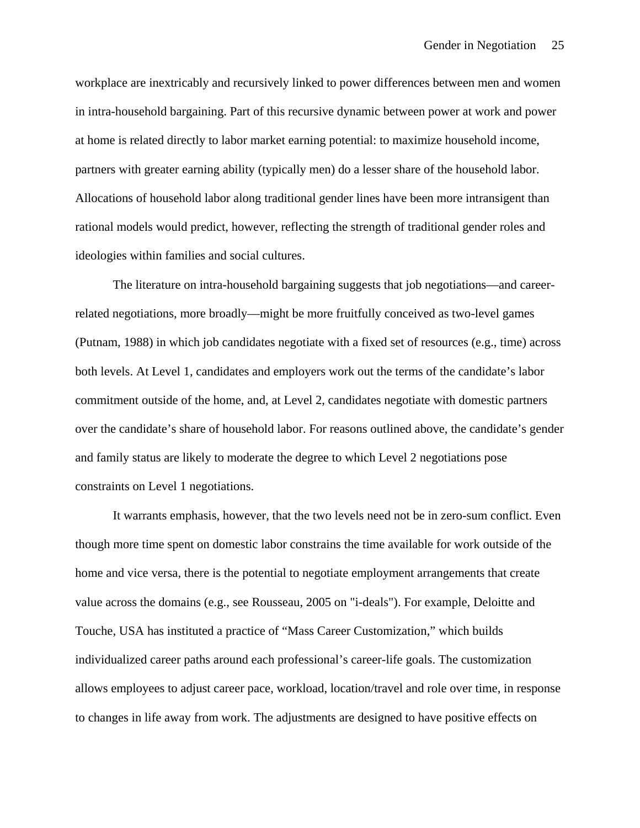workplace are inextricably and recursively linked to power differences between men and women in intra-household bargaining. Part of this recursive dynamic between power at work and power at home is related directly to labor market earning potential: to maximize household income, partners with greater earning ability (typically men) do a lesser share of the household labor. Allocations of household labor along traditional gender lines have been more intransigent than rational models would predict, however, reflecting the strength of traditional gender roles and ideologies within families and social cultures.

The literature on intra-household bargaining suggests that job negotiations—and careerrelated negotiations, more broadly—might be more fruitfully conceived as two-level games (Putnam, 1988) in which job candidates negotiate with a fixed set of resources (e.g., time) across both levels. At Level 1, candidates and employers work out the terms of the candidate's labor commitment outside of the home, and, at Level 2, candidates negotiate with domestic partners over the candidate's share of household labor. For reasons outlined above, the candidate's gender and family status are likely to moderate the degree to which Level 2 negotiations pose constraints on Level 1 negotiations.

It warrants emphasis, however, that the two levels need not be in zero-sum conflict. Even though more time spent on domestic labor constrains the time available for work outside of the home and vice versa, there is the potential to negotiate employment arrangements that create value across the domains (e.g., see Rousseau, 2005 on "i-deals"). For example, Deloitte and Touche, USA has instituted a practice of "Mass Career Customization," which builds individualized career paths around each professional's career-life goals. The customization allows employees to adjust career pace, workload, location/travel and role over time, in response to changes in life away from work. The adjustments are designed to have positive effects on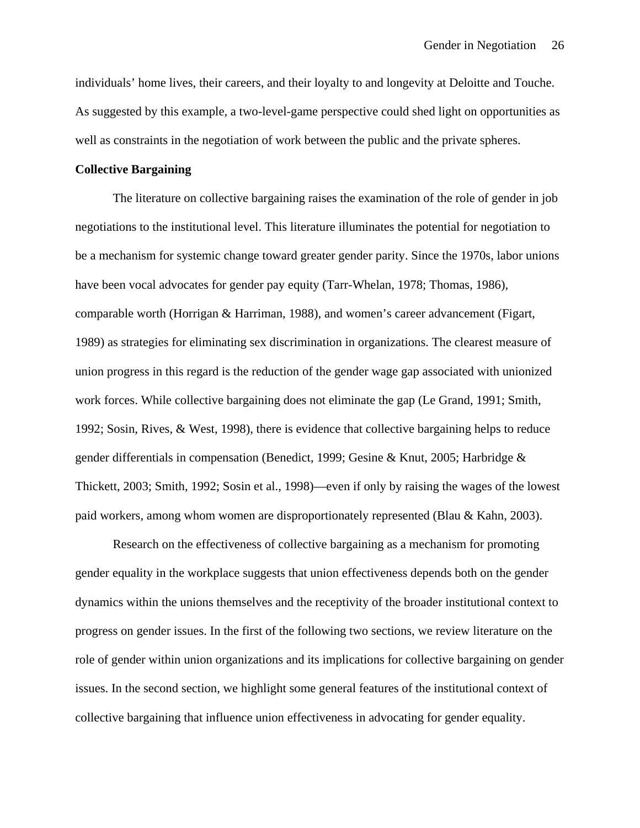individuals' home lives, their careers, and their loyalty to and longevity at Deloitte and Touche. As suggested by this example, a two-level-game perspective could shed light on opportunities as well as constraints in the negotiation of work between the public and the private spheres.

#### **Collective Bargaining**

The literature on collective bargaining raises the examination of the role of gender in job negotiations to the institutional level. This literature illuminates the potential for negotiation to be a mechanism for systemic change toward greater gender parity. Since the 1970s, labor unions have been vocal advocates for gender pay equity (Tarr-Whelan, 1978; Thomas, 1986), comparable worth (Horrigan & Harriman, 1988), and women's career advancement (Figart, 1989) as strategies for eliminating sex discrimination in organizations. The clearest measure of union progress in this regard is the reduction of the gender wage gap associated with unionized work forces. While collective bargaining does not eliminate the gap (Le Grand, 1991; Smith, 1992; Sosin, Rives, & West, 1998), there is evidence that collective bargaining helps to reduce gender differentials in compensation (Benedict, 1999; Gesine & Knut, 2005; Harbridge & Thickett, 2003; Smith, 1992; Sosin et al., 1998)—even if only by raising the wages of the lowest paid workers, among whom women are disproportionately represented (Blau & Kahn, 2003).

Research on the effectiveness of collective bargaining as a mechanism for promoting gender equality in the workplace suggests that union effectiveness depends both on the gender dynamics within the unions themselves and the receptivity of the broader institutional context to progress on gender issues. In the first of the following two sections, we review literature on the role of gender within union organizations and its implications for collective bargaining on gender issues. In the second section, we highlight some general features of the institutional context of collective bargaining that influence union effectiveness in advocating for gender equality.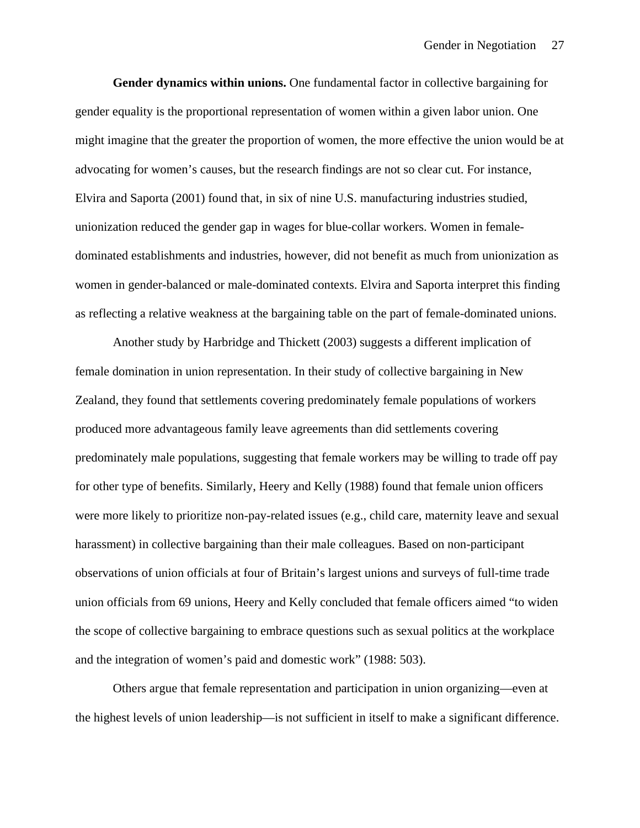**Gender dynamics within unions.** One fundamental factor in collective bargaining for gender equality is the proportional representation of women within a given labor union. One might imagine that the greater the proportion of women, the more effective the union would be at advocating for women's causes, but the research findings are not so clear cut. For instance, Elvira and Saporta (2001) found that, in six of nine U.S. manufacturing industries studied, unionization reduced the gender gap in wages for blue-collar workers. Women in femaledominated establishments and industries, however, did not benefit as much from unionization as women in gender-balanced or male-dominated contexts. Elvira and Saporta interpret this finding as reflecting a relative weakness at the bargaining table on the part of female-dominated unions.

Another study by Harbridge and Thickett (2003) suggests a different implication of female domination in union representation. In their study of collective bargaining in New Zealand, they found that settlements covering predominately female populations of workers produced more advantageous family leave agreements than did settlements covering predominately male populations, suggesting that female workers may be willing to trade off pay for other type of benefits. Similarly, Heery and Kelly (1988) found that female union officers were more likely to prioritize non-pay-related issues (e.g., child care, maternity leave and sexual harassment) in collective bargaining than their male colleagues. Based on non-participant observations of union officials at four of Britain's largest unions and surveys of full-time trade union officials from 69 unions, Heery and Kelly concluded that female officers aimed "to widen the scope of collective bargaining to embrace questions such as sexual politics at the workplace and the integration of women's paid and domestic work" (1988: 503).

Others argue that female representation and participation in union organizing—even at the highest levels of union leadership—is not sufficient in itself to make a significant difference.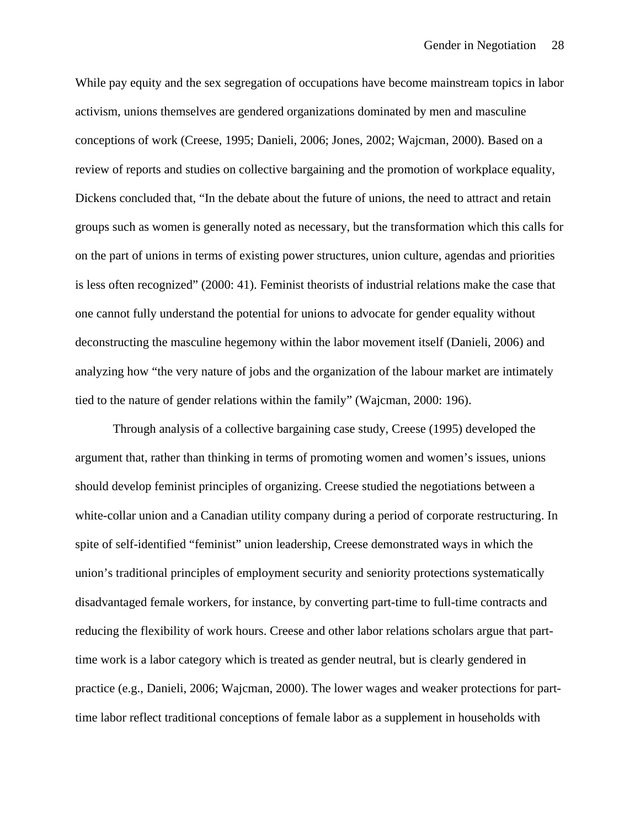While pay equity and the sex segregation of occupations have become mainstream topics in labor activism, unions themselves are gendered organizations dominated by men and masculine conceptions of work (Creese, 1995; Danieli, 2006; Jones, 2002; Wajcman, 2000). Based on a review of reports and studies on collective bargaining and the promotion of workplace equality, Dickens concluded that, "In the debate about the future of unions, the need to attract and retain groups such as women is generally noted as necessary, but the transformation which this calls for on the part of unions in terms of existing power structures, union culture, agendas and priorities is less often recognized" (2000: 41). Feminist theorists of industrial relations make the case that one cannot fully understand the potential for unions to advocate for gender equality without deconstructing the masculine hegemony within the labor movement itself (Danieli, 2006) and analyzing how "the very nature of jobs and the organization of the labour market are intimately tied to the nature of gender relations within the family" (Wajcman, 2000: 196).

Through analysis of a collective bargaining case study, Creese (1995) developed the argument that, rather than thinking in terms of promoting women and women's issues, unions should develop feminist principles of organizing. Creese studied the negotiations between a white-collar union and a Canadian utility company during a period of corporate restructuring. In spite of self-identified "feminist" union leadership, Creese demonstrated ways in which the union's traditional principles of employment security and seniority protections systematically disadvantaged female workers, for instance, by converting part-time to full-time contracts and reducing the flexibility of work hours. Creese and other labor relations scholars argue that parttime work is a labor category which is treated as gender neutral, but is clearly gendered in practice (e.g., Danieli, 2006; Wajcman, 2000). The lower wages and weaker protections for parttime labor reflect traditional conceptions of female labor as a supplement in households with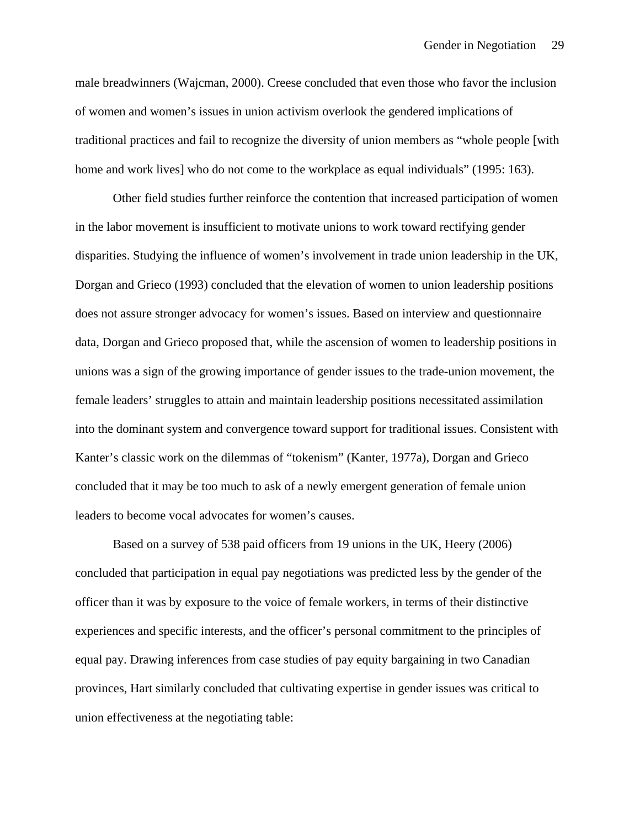male breadwinners (Wajcman, 2000). Creese concluded that even those who favor the inclusion of women and women's issues in union activism overlook the gendered implications of traditional practices and fail to recognize the diversity of union members as "whole people [with home and work lives] who do not come to the workplace as equal individuals" (1995: 163).

Other field studies further reinforce the contention that increased participation of women in the labor movement is insufficient to motivate unions to work toward rectifying gender disparities. Studying the influence of women's involvement in trade union leadership in the UK, Dorgan and Grieco (1993) concluded that the elevation of women to union leadership positions does not assure stronger advocacy for women's issues. Based on interview and questionnaire data, Dorgan and Grieco proposed that, while the ascension of women to leadership positions in unions was a sign of the growing importance of gender issues to the trade-union movement, the female leaders' struggles to attain and maintain leadership positions necessitated assimilation into the dominant system and convergence toward support for traditional issues. Consistent with Kanter's classic work on the dilemmas of "tokenism" (Kanter, 1977a), Dorgan and Grieco concluded that it may be too much to ask of a newly emergent generation of female union leaders to become vocal advocates for women's causes.

Based on a survey of 538 paid officers from 19 unions in the UK, Heery (2006) concluded that participation in equal pay negotiations was predicted less by the gender of the officer than it was by exposure to the voice of female workers, in terms of their distinctive experiences and specific interests, and the officer's personal commitment to the principles of equal pay. Drawing inferences from case studies of pay equity bargaining in two Canadian provinces, Hart similarly concluded that cultivating expertise in gender issues was critical to union effectiveness at the negotiating table: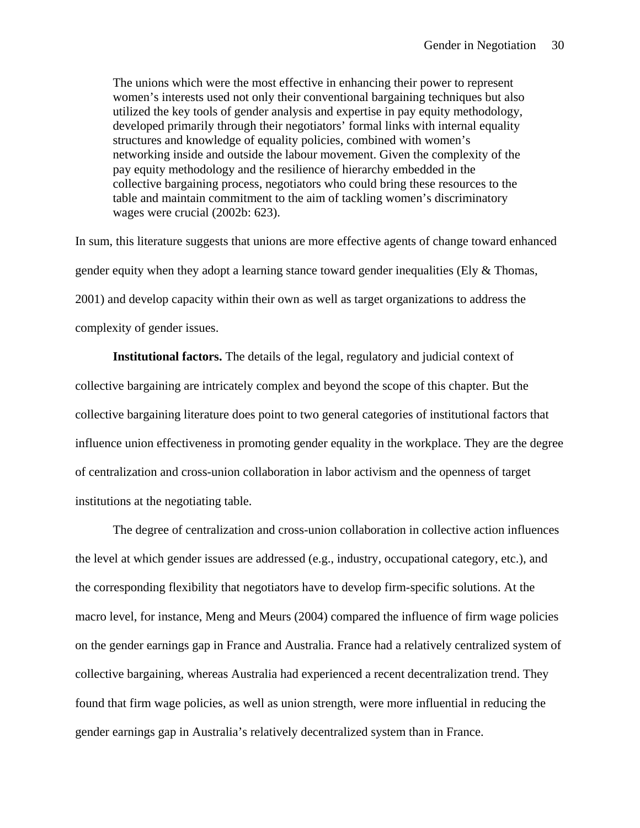The unions which were the most effective in enhancing their power to represent women's interests used not only their conventional bargaining techniques but also utilized the key tools of gender analysis and expertise in pay equity methodology, developed primarily through their negotiators' formal links with internal equality structures and knowledge of equality policies, combined with women's networking inside and outside the labour movement. Given the complexity of the pay equity methodology and the resilience of hierarchy embedded in the collective bargaining process, negotiators who could bring these resources to the table and maintain commitment to the aim of tackling women's discriminatory wages were crucial (2002b: 623).

In sum, this literature suggests that unions are more effective agents of change toward enhanced gender equity when they adopt a learning stance toward gender inequalities (Ely & Thomas, 2001) and develop capacity within their own as well as target organizations to address the complexity of gender issues.

**Institutional factors.** The details of the legal, regulatory and judicial context of collective bargaining are intricately complex and beyond the scope of this chapter. But the collective bargaining literature does point to two general categories of institutional factors that influence union effectiveness in promoting gender equality in the workplace. They are the degree of centralization and cross-union collaboration in labor activism and the openness of target institutions at the negotiating table.

The degree of centralization and cross-union collaboration in collective action influences the level at which gender issues are addressed (e.g., industry, occupational category, etc.), and the corresponding flexibility that negotiators have to develop firm-specific solutions. At the macro level, for instance, Meng and Meurs (2004) compared the influence of firm wage policies on the gender earnings gap in France and Australia. France had a relatively centralized system of collective bargaining, whereas Australia had experienced a recent decentralization trend. They found that firm wage policies, as well as union strength, were more influential in reducing the gender earnings gap in Australia's relatively decentralized system than in France.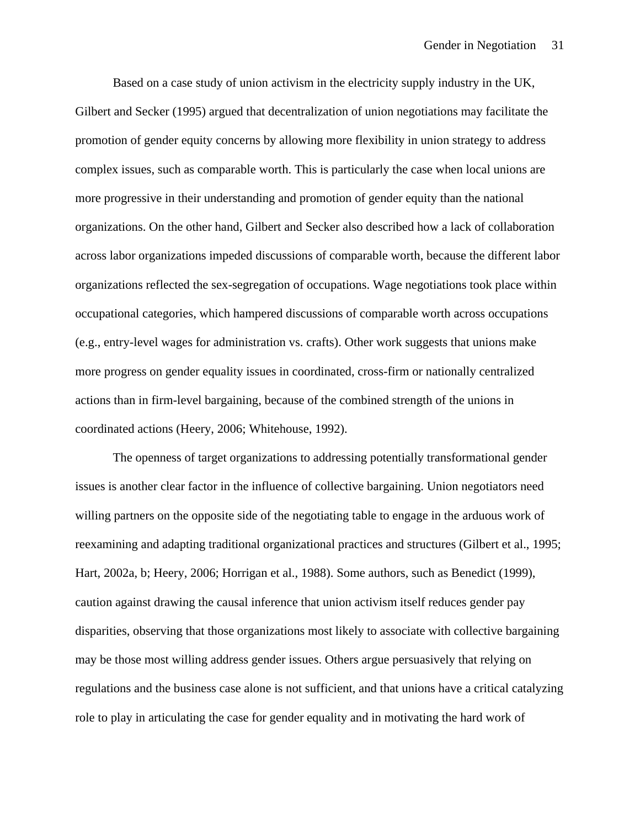Based on a case study of union activism in the electricity supply industry in the UK, Gilbert and Secker (1995) argued that decentralization of union negotiations may facilitate the promotion of gender equity concerns by allowing more flexibility in union strategy to address complex issues, such as comparable worth. This is particularly the case when local unions are more progressive in their understanding and promotion of gender equity than the national organizations. On the other hand, Gilbert and Secker also described how a lack of collaboration across labor organizations impeded discussions of comparable worth, because the different labor organizations reflected the sex-segregation of occupations. Wage negotiations took place within occupational categories, which hampered discussions of comparable worth across occupations (e.g., entry-level wages for administration vs. crafts). Other work suggests that unions make more progress on gender equality issues in coordinated, cross-firm or nationally centralized actions than in firm-level bargaining, because of the combined strength of the unions in coordinated actions (Heery, 2006; Whitehouse, 1992).

The openness of target organizations to addressing potentially transformational gender issues is another clear factor in the influence of collective bargaining. Union negotiators need willing partners on the opposite side of the negotiating table to engage in the arduous work of reexamining and adapting traditional organizational practices and structures (Gilbert et al., 1995; Hart, 2002a, b; Heery, 2006; Horrigan et al., 1988). Some authors, such as Benedict (1999), caution against drawing the causal inference that union activism itself reduces gender pay disparities, observing that those organizations most likely to associate with collective bargaining may be those most willing address gender issues. Others argue persuasively that relying on regulations and the business case alone is not sufficient, and that unions have a critical catalyzing role to play in articulating the case for gender equality and in motivating the hard work of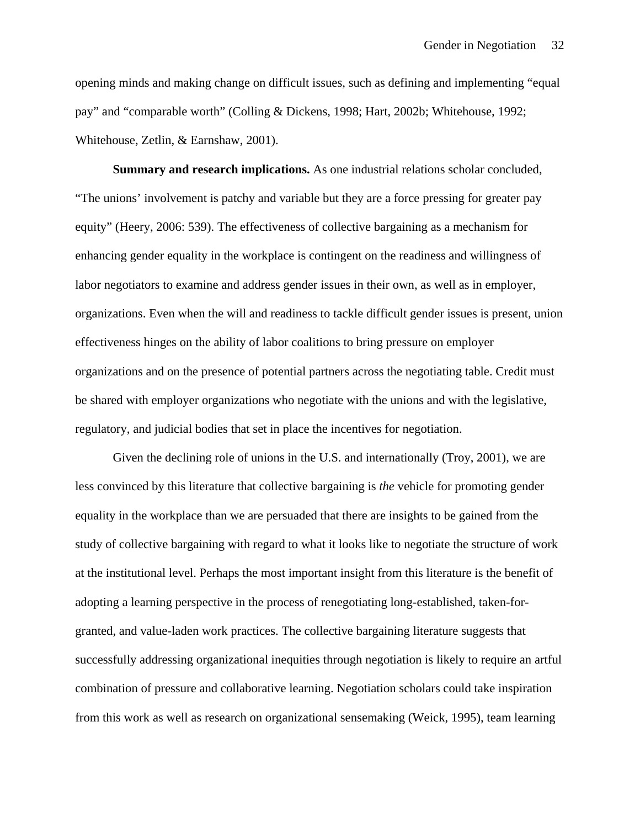opening minds and making change on difficult issues, such as defining and implementing "equal pay" and "comparable worth" (Colling & Dickens, 1998; Hart, 2002b; Whitehouse, 1992; Whitehouse, Zetlin, & Earnshaw, 2001).

**Summary and research implications.** As one industrial relations scholar concluded, "The unions' involvement is patchy and variable but they are a force pressing for greater pay equity" (Heery, 2006: 539). The effectiveness of collective bargaining as a mechanism for enhancing gender equality in the workplace is contingent on the readiness and willingness of labor negotiators to examine and address gender issues in their own, as well as in employer, organizations. Even when the will and readiness to tackle difficult gender issues is present, union effectiveness hinges on the ability of labor coalitions to bring pressure on employer organizations and on the presence of potential partners across the negotiating table. Credit must be shared with employer organizations who negotiate with the unions and with the legislative, regulatory, and judicial bodies that set in place the incentives for negotiation.

Given the declining role of unions in the U.S. and internationally (Troy, 2001), we are less convinced by this literature that collective bargaining is *the* vehicle for promoting gender equality in the workplace than we are persuaded that there are insights to be gained from the study of collective bargaining with regard to what it looks like to negotiate the structure of work at the institutional level. Perhaps the most important insight from this literature is the benefit of adopting a learning perspective in the process of renegotiating long-established, taken-forgranted, and value-laden work practices. The collective bargaining literature suggests that successfully addressing organizational inequities through negotiation is likely to require an artful combination of pressure and collaborative learning. Negotiation scholars could take inspiration from this work as well as research on organizational sensemaking (Weick, 1995), team learning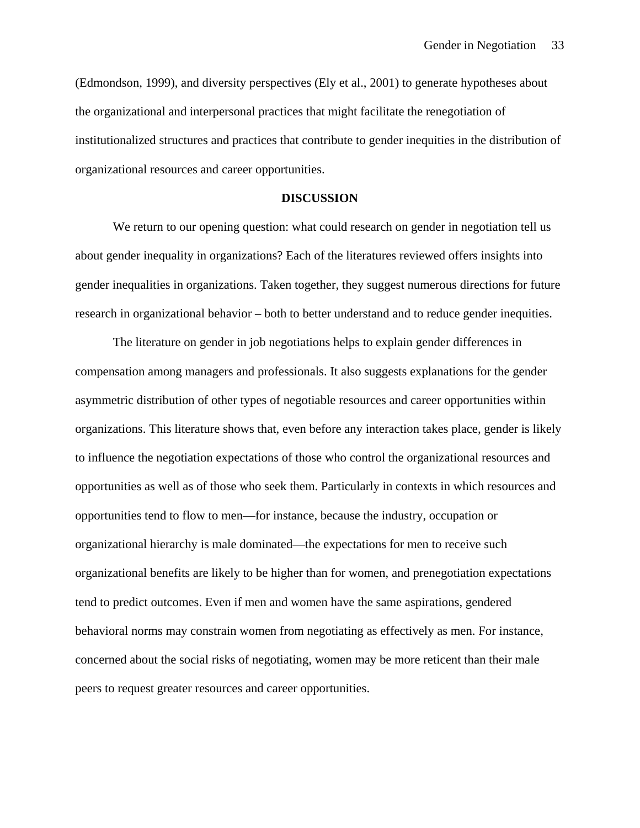(Edmondson, 1999), and diversity perspectives (Ely et al., 2001) to generate hypotheses about the organizational and interpersonal practices that might facilitate the renegotiation of institutionalized structures and practices that contribute to gender inequities in the distribution of organizational resources and career opportunities.

#### **DISCUSSION**

We return to our opening question: what could research on gender in negotiation tell us about gender inequality in organizations? Each of the literatures reviewed offers insights into gender inequalities in organizations. Taken together, they suggest numerous directions for future research in organizational behavior – both to better understand and to reduce gender inequities.

The literature on gender in job negotiations helps to explain gender differences in compensation among managers and professionals. It also suggests explanations for the gender asymmetric distribution of other types of negotiable resources and career opportunities within organizations. This literature shows that, even before any interaction takes place, gender is likely to influence the negotiation expectations of those who control the organizational resources and opportunities as well as of those who seek them. Particularly in contexts in which resources and opportunities tend to flow to men—for instance, because the industry, occupation or organizational hierarchy is male dominated—the expectations for men to receive such organizational benefits are likely to be higher than for women, and prenegotiation expectations tend to predict outcomes. Even if men and women have the same aspirations, gendered behavioral norms may constrain women from negotiating as effectively as men. For instance, concerned about the social risks of negotiating, women may be more reticent than their male peers to request greater resources and career opportunities.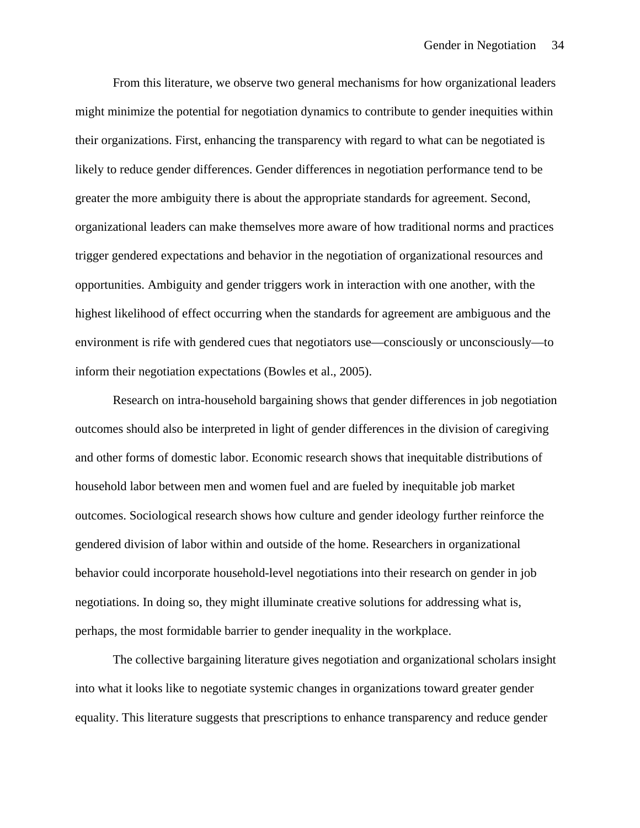From this literature, we observe two general mechanisms for how organizational leaders might minimize the potential for negotiation dynamics to contribute to gender inequities within their organizations. First, enhancing the transparency with regard to what can be negotiated is likely to reduce gender differences. Gender differences in negotiation performance tend to be greater the more ambiguity there is about the appropriate standards for agreement. Second, organizational leaders can make themselves more aware of how traditional norms and practices trigger gendered expectations and behavior in the negotiation of organizational resources and opportunities. Ambiguity and gender triggers work in interaction with one another, with the highest likelihood of effect occurring when the standards for agreement are ambiguous and the environment is rife with gendered cues that negotiators use—consciously or unconsciously—to inform their negotiation expectations (Bowles et al., 2005).

Research on intra-household bargaining shows that gender differences in job negotiation outcomes should also be interpreted in light of gender differences in the division of caregiving and other forms of domestic labor. Economic research shows that inequitable distributions of household labor between men and women fuel and are fueled by inequitable job market outcomes. Sociological research shows how culture and gender ideology further reinforce the gendered division of labor within and outside of the home. Researchers in organizational behavior could incorporate household-level negotiations into their research on gender in job negotiations. In doing so, they might illuminate creative solutions for addressing what is, perhaps, the most formidable barrier to gender inequality in the workplace.

 The collective bargaining literature gives negotiation and organizational scholars insight into what it looks like to negotiate systemic changes in organizations toward greater gender equality. This literature suggests that prescriptions to enhance transparency and reduce gender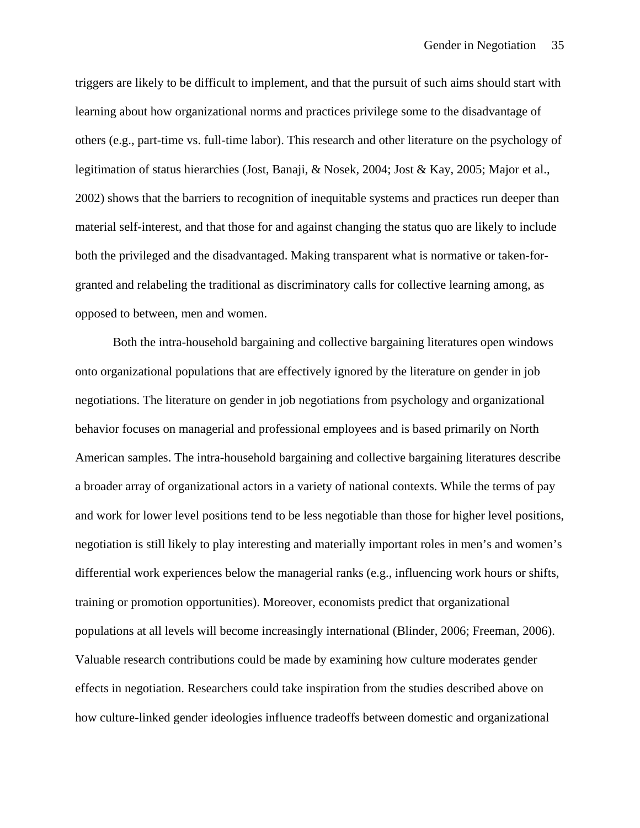triggers are likely to be difficult to implement, and that the pursuit of such aims should start with learning about how organizational norms and practices privilege some to the disadvantage of others (e.g., part-time vs. full-time labor). This research and other literature on the psychology of legitimation of status hierarchies (Jost, Banaji, & Nosek, 2004; Jost & Kay, 2005; Major et al., 2002) shows that the barriers to recognition of inequitable systems and practices run deeper than material self-interest, and that those for and against changing the status quo are likely to include both the privileged and the disadvantaged. Making transparent what is normative or taken-forgranted and relabeling the traditional as discriminatory calls for collective learning among, as opposed to between, men and women.

Both the intra-household bargaining and collective bargaining literatures open windows onto organizational populations that are effectively ignored by the literature on gender in job negotiations. The literature on gender in job negotiations from psychology and organizational behavior focuses on managerial and professional employees and is based primarily on North American samples. The intra-household bargaining and collective bargaining literatures describe a broader array of organizational actors in a variety of national contexts. While the terms of pay and work for lower level positions tend to be less negotiable than those for higher level positions, negotiation is still likely to play interesting and materially important roles in men's and women's differential work experiences below the managerial ranks (e.g., influencing work hours or shifts, training or promotion opportunities). Moreover, economists predict that organizational populations at all levels will become increasingly international (Blinder, 2006; Freeman, 2006). Valuable research contributions could be made by examining how culture moderates gender effects in negotiation. Researchers could take inspiration from the studies described above on how culture-linked gender ideologies influence tradeoffs between domestic and organizational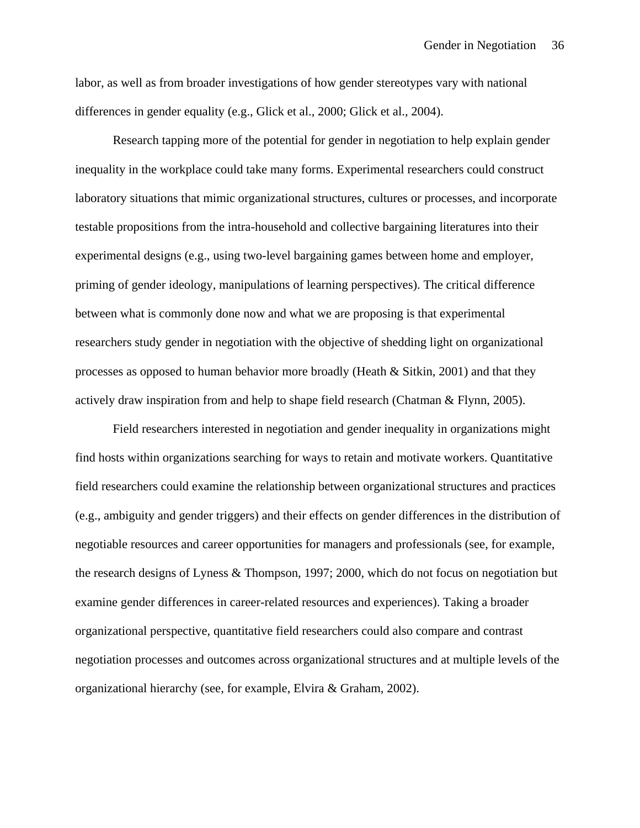labor, as well as from broader investigations of how gender stereotypes vary with national differences in gender equality (e.g., Glick et al., 2000; Glick et al., 2004).

Research tapping more of the potential for gender in negotiation to help explain gender inequality in the workplace could take many forms. Experimental researchers could construct laboratory situations that mimic organizational structures, cultures or processes, and incorporate testable propositions from the intra-household and collective bargaining literatures into their experimental designs (e.g., using two-level bargaining games between home and employer, priming of gender ideology, manipulations of learning perspectives). The critical difference between what is commonly done now and what we are proposing is that experimental researchers study gender in negotiation with the objective of shedding light on organizational processes as opposed to human behavior more broadly (Heath & Sitkin, 2001) and that they actively draw inspiration from and help to shape field research (Chatman  $\&$  Flynn, 2005).

Field researchers interested in negotiation and gender inequality in organizations might find hosts within organizations searching for ways to retain and motivate workers. Quantitative field researchers could examine the relationship between organizational structures and practices (e.g., ambiguity and gender triggers) and their effects on gender differences in the distribution of negotiable resources and career opportunities for managers and professionals (see, for example, the research designs of Lyness & Thompson, 1997; 2000, which do not focus on negotiation but examine gender differences in career-related resources and experiences). Taking a broader organizational perspective, quantitative field researchers could also compare and contrast negotiation processes and outcomes across organizational structures and at multiple levels of the organizational hierarchy (see, for example, Elvira & Graham, 2002).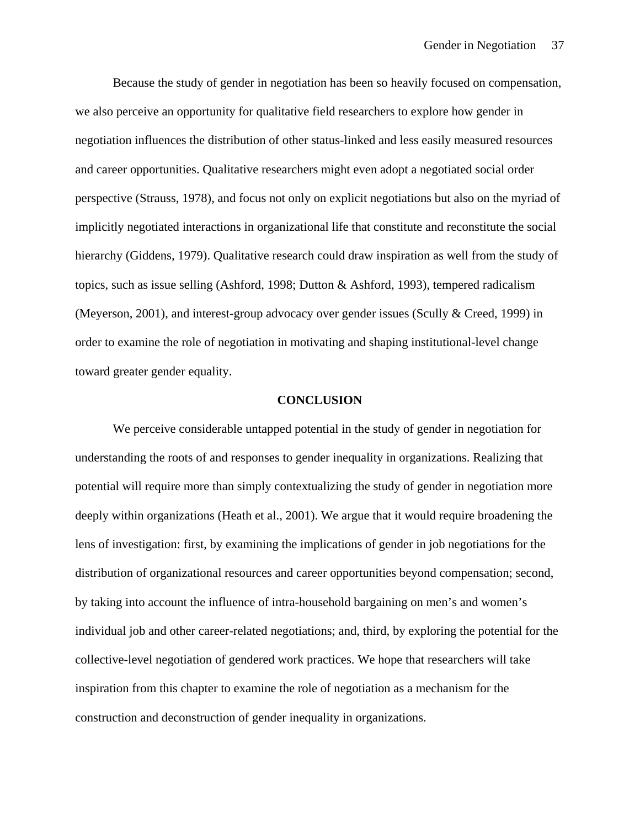Because the study of gender in negotiation has been so heavily focused on compensation, we also perceive an opportunity for qualitative field researchers to explore how gender in negotiation influences the distribution of other status-linked and less easily measured resources and career opportunities. Qualitative researchers might even adopt a negotiated social order perspective (Strauss, 1978), and focus not only on explicit negotiations but also on the myriad of implicitly negotiated interactions in organizational life that constitute and reconstitute the social hierarchy (Giddens, 1979). Qualitative research could draw inspiration as well from the study of topics, such as issue selling (Ashford, 1998; Dutton & Ashford, 1993), tempered radicalism (Meyerson, 2001), and interest-group advocacy over gender issues (Scully & Creed, 1999) in order to examine the role of negotiation in motivating and shaping institutional-level change toward greater gender equality.

#### **CONCLUSION**

We perceive considerable untapped potential in the study of gender in negotiation for understanding the roots of and responses to gender inequality in organizations. Realizing that potential will require more than simply contextualizing the study of gender in negotiation more deeply within organizations (Heath et al., 2001). We argue that it would require broadening the lens of investigation: first, by examining the implications of gender in job negotiations for the distribution of organizational resources and career opportunities beyond compensation; second, by taking into account the influence of intra-household bargaining on men's and women's individual job and other career-related negotiations; and, third, by exploring the potential for the collective-level negotiation of gendered work practices. We hope that researchers will take inspiration from this chapter to examine the role of negotiation as a mechanism for the construction and deconstruction of gender inequality in organizations.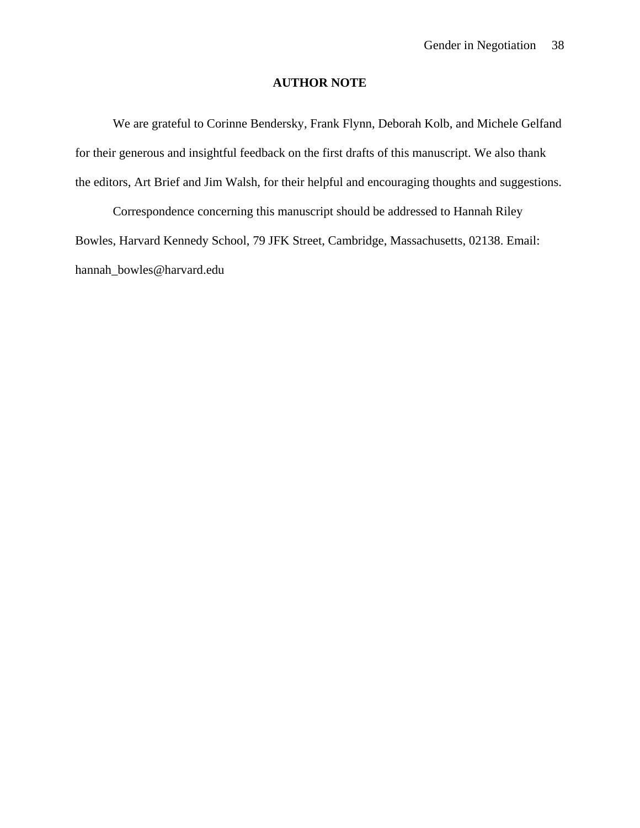### **AUTHOR NOTE**

We are grateful to Corinne Bendersky, Frank Flynn, Deborah Kolb, and Michele Gelfand for their generous and insightful feedback on the first drafts of this manuscript. We also thank the editors, Art Brief and Jim Walsh, for their helpful and encouraging thoughts and suggestions.

 Correspondence concerning this manuscript should be addressed to Hannah Riley Bowles, Harvard Kennedy School, 79 JFK Street, Cambridge, Massachusetts, 02138. Email: hannah\_bowles@harvard.edu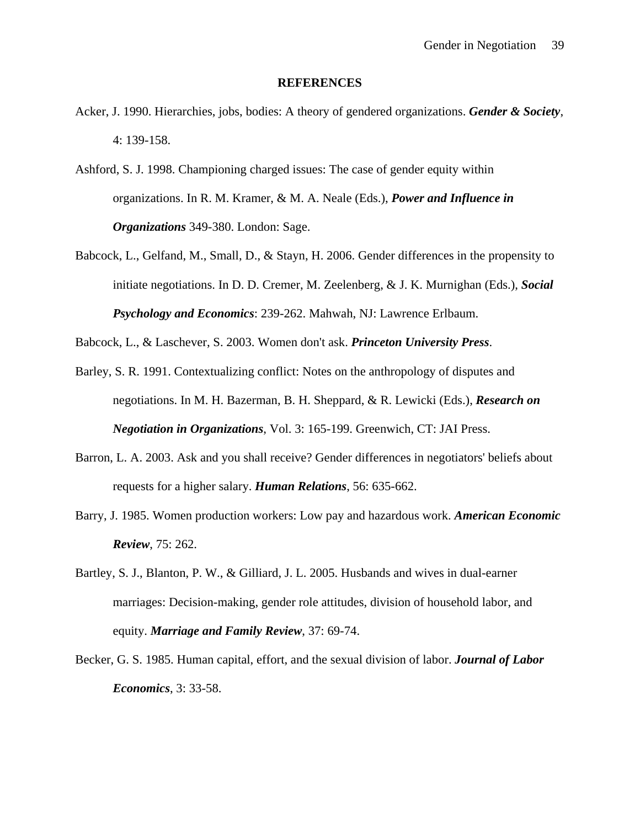#### **REFERENCES**

- Acker, J. 1990. Hierarchies, jobs, bodies: A theory of gendered organizations. *Gender & Society*, 4: 139-158.
- Ashford, S. J. 1998. Championing charged issues: The case of gender equity within organizations. In R. M. Kramer, & M. A. Neale (Eds.), *Power and Influence in Organizations* 349-380. London: Sage.
- Babcock, L., Gelfand, M., Small, D., & Stayn, H. 2006. Gender differences in the propensity to initiate negotiations. In D. D. Cremer, M. Zeelenberg, & J. K. Murnighan (Eds.), *Social Psychology and Economics*: 239-262. Mahwah, NJ: Lawrence Erlbaum.

Babcock, L., & Laschever, S. 2003. Women don't ask. *Princeton University Press*.

- Barley, S. R. 1991. Contextualizing conflict: Notes on the anthropology of disputes and negotiations. In M. H. Bazerman, B. H. Sheppard, & R. Lewicki (Eds.), *Research on Negotiation in Organizations*, Vol. 3: 165-199. Greenwich, CT: JAI Press.
- Barron, L. A. 2003. Ask and you shall receive? Gender differences in negotiators' beliefs about requests for a higher salary. *Human Relations*, 56: 635-662.
- Barry, J. 1985. Women production workers: Low pay and hazardous work. *American Economic Review*, 75: 262.
- Bartley, S. J., Blanton, P. W., & Gilliard, J. L. 2005. Husbands and wives in dual-earner marriages: Decision-making, gender role attitudes, division of household labor, and equity. *Marriage and Family Review*, 37: 69-74.
- Becker, G. S. 1985. Human capital, effort, and the sexual division of labor. *Journal of Labor Economics*, 3: 33-58.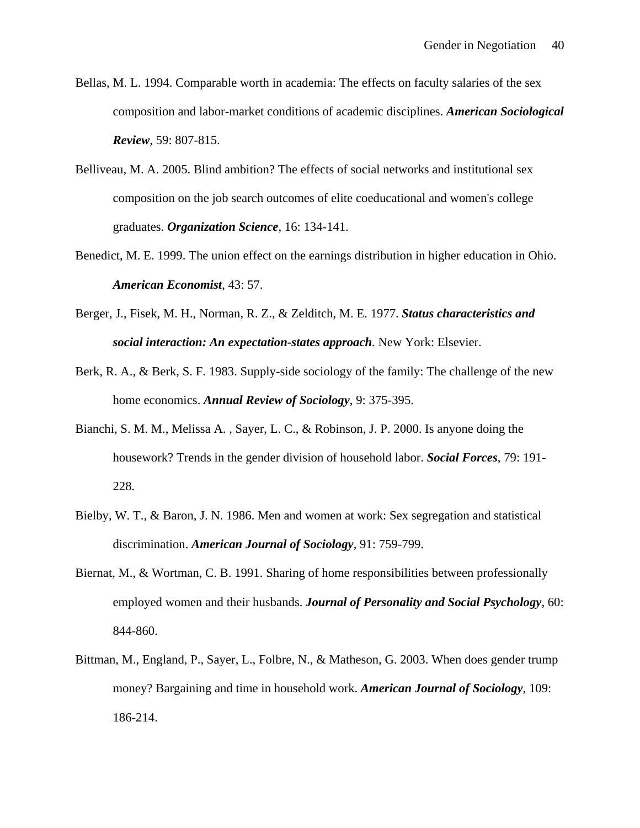- Bellas, M. L. 1994. Comparable worth in academia: The effects on faculty salaries of the sex composition and labor-market conditions of academic disciplines. *American Sociological Review*, 59: 807-815.
- Belliveau, M. A. 2005. Blind ambition? The effects of social networks and institutional sex composition on the job search outcomes of elite coeducational and women's college graduates. *Organization Science*, 16: 134-141.
- Benedict, M. E. 1999. The union effect on the earnings distribution in higher education in Ohio. *American Economist*, 43: 57.
- Berger, J., Fisek, M. H., Norman, R. Z., & Zelditch, M. E. 1977. *Status characteristics and social interaction: An expectation-states approach*. New York: Elsevier.
- Berk, R. A., & Berk, S. F. 1983. Supply-side sociology of the family: The challenge of the new home economics. *Annual Review of Sociology*, 9: 375-395.
- Bianchi, S. M. M., Melissa A. , Sayer, L. C., & Robinson, J. P. 2000. Is anyone doing the housework? Trends in the gender division of household labor. *Social Forces*, 79: 191- 228.
- Bielby, W. T., & Baron, J. N. 1986. Men and women at work: Sex segregation and statistical discrimination. *American Journal of Sociology*, 91: 759-799.
- Biernat, M., & Wortman, C. B. 1991. Sharing of home responsibilities between professionally employed women and their husbands. *Journal of Personality and Social Psychology*, 60: 844-860.
- Bittman, M., England, P., Sayer, L., Folbre, N., & Matheson, G. 2003. When does gender trump money? Bargaining and time in household work. *American Journal of Sociology*, 109: 186-214.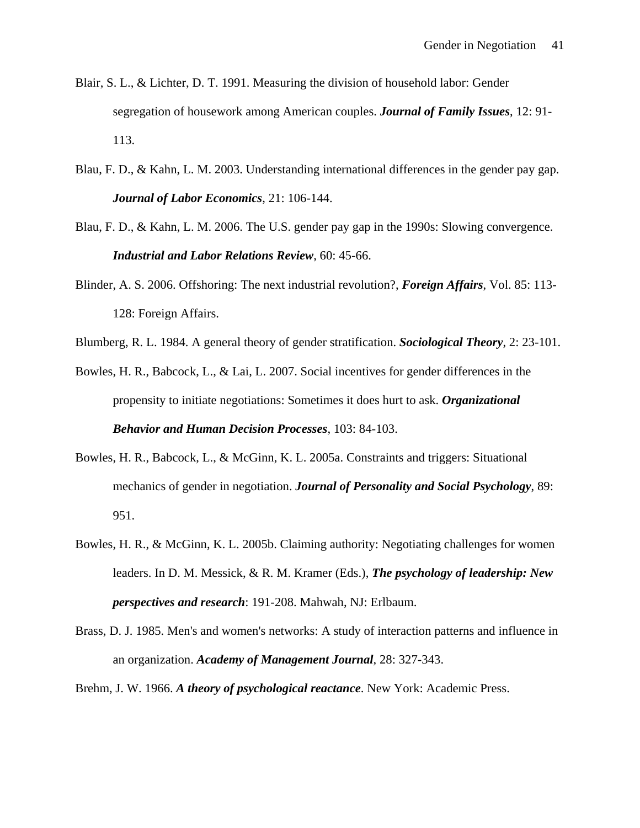- Blair, S. L., & Lichter, D. T. 1991. Measuring the division of household labor: Gender segregation of housework among American couples. *Journal of Family Issues*, 12: 91- 113.
- Blau, F. D., & Kahn, L. M. 2003. Understanding international differences in the gender pay gap. *Journal of Labor Economics*, 21: 106-144.
- Blau, F. D., & Kahn, L. M. 2006. The U.S. gender pay gap in the 1990s: Slowing convergence. *Industrial and Labor Relations Review*, 60: 45-66.
- Blinder, A. S. 2006. Offshoring: The next industrial revolution?, *Foreign Affairs*, Vol. 85: 113- 128: Foreign Affairs.

Blumberg, R. L. 1984. A general theory of gender stratification. *Sociological Theory*, 2: 23-101.

- Bowles, H. R., Babcock, L., & Lai, L. 2007. Social incentives for gender differences in the propensity to initiate negotiations: Sometimes it does hurt to ask. *Organizational Behavior and Human Decision Processes*, 103: 84-103.
- Bowles, H. R., Babcock, L., & McGinn, K. L. 2005a. Constraints and triggers: Situational mechanics of gender in negotiation. *Journal of Personality and Social Psychology*, 89: 951.
- Bowles, H. R., & McGinn, K. L. 2005b. Claiming authority: Negotiating challenges for women leaders. In D. M. Messick, & R. M. Kramer (Eds.), *The psychology of leadership: New perspectives and research*: 191-208. Mahwah, NJ: Erlbaum.
- Brass, D. J. 1985. Men's and women's networks: A study of interaction patterns and influence in an organization. *Academy of Management Journal*, 28: 327-343.
- Brehm, J. W. 1966. *A theory of psychological reactance*. New York: Academic Press.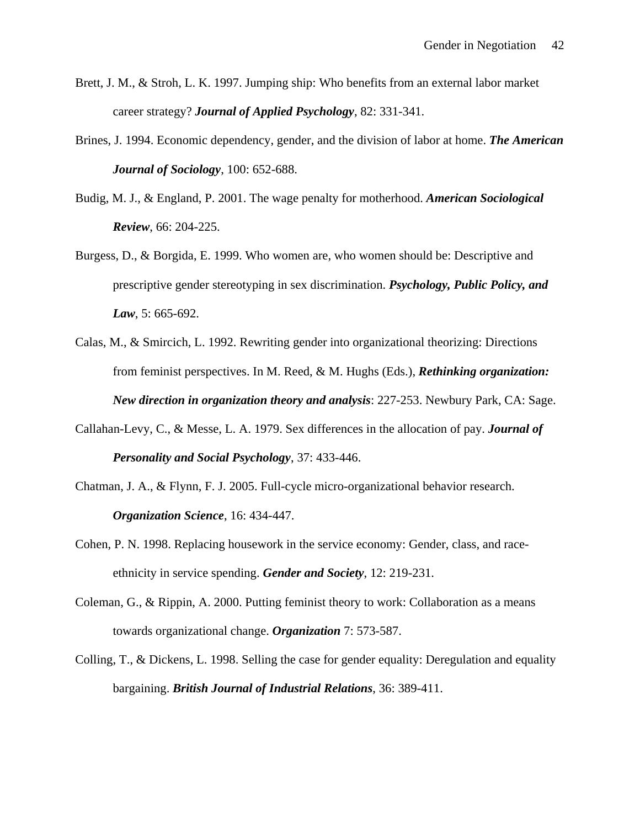- Brett, J. M., & Stroh, L. K. 1997. Jumping ship: Who benefits from an external labor market career strategy? *Journal of Applied Psychology*, 82: 331-341.
- Brines, J. 1994. Economic dependency, gender, and the division of labor at home. *The American Journal of Sociology*, 100: 652-688.
- Budig, M. J., & England, P. 2001. The wage penalty for motherhood. *American Sociological Review*, 66: 204-225.
- Burgess, D., & Borgida, E. 1999. Who women are, who women should be: Descriptive and prescriptive gender stereotyping in sex discrimination. *Psychology, Public Policy, and Law*, 5: 665-692.
- Calas, M., & Smircich, L. 1992. Rewriting gender into organizational theorizing: Directions from feminist perspectives. In M. Reed, & M. Hughs (Eds.), *Rethinking organization: New direction in organization theory and analysis*: 227-253. Newbury Park, CA: Sage.
- Callahan-Levy, C., & Messe, L. A. 1979. Sex differences in the allocation of pay. *Journal of Personality and Social Psychology*, 37: 433-446.
- Chatman, J. A., & Flynn, F. J. 2005. Full-cycle micro-organizational behavior research. *Organization Science*, 16: 434-447.
- Cohen, P. N. 1998. Replacing housework in the service economy: Gender, class, and raceethnicity in service spending. *Gender and Society*, 12: 219-231.
- Coleman, G., & Rippin, A. 2000. Putting feminist theory to work: Collaboration as a means towards organizational change. *Organization* 7: 573-587.
- Colling, T., & Dickens, L. 1998. Selling the case for gender equality: Deregulation and equality bargaining. *British Journal of Industrial Relations*, 36: 389-411.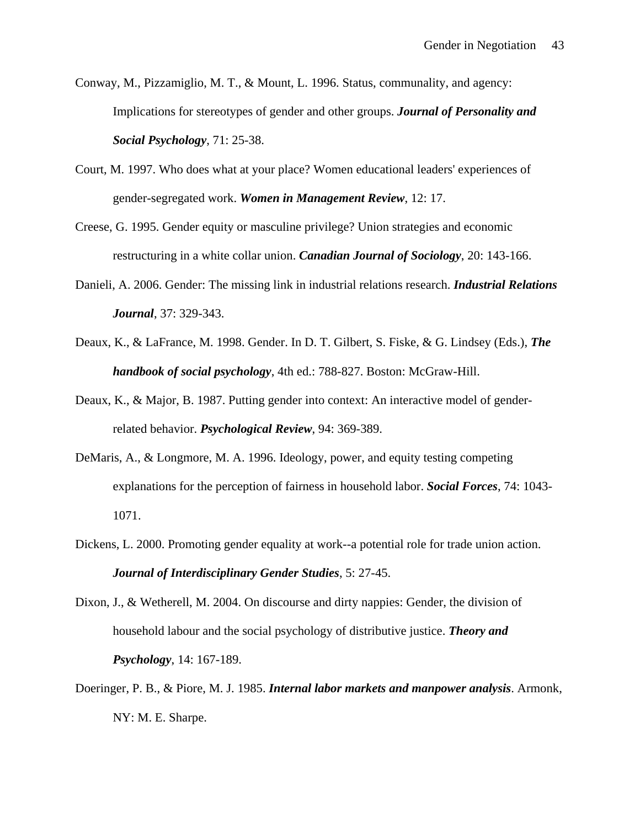- Conway, M., Pizzamiglio, M. T., & Mount, L. 1996. Status, communality, and agency: Implications for stereotypes of gender and other groups. *Journal of Personality and Social Psychology*, 71: 25-38.
- Court, M. 1997. Who does what at your place? Women educational leaders' experiences of gender-segregated work. *Women in Management Review*, 12: 17.
- Creese, G. 1995. Gender equity or masculine privilege? Union strategies and economic restructuring in a white collar union. *Canadian Journal of Sociology*, 20: 143-166.
- Danieli, A. 2006. Gender: The missing link in industrial relations research. *Industrial Relations Journal*, 37: 329-343.
- Deaux, K., & LaFrance, M. 1998. Gender. In D. T. Gilbert, S. Fiske, & G. Lindsey (Eds.), *The handbook of social psychology*, 4th ed.: 788-827. Boston: McGraw-Hill.
- Deaux, K., & Major, B. 1987. Putting gender into context: An interactive model of genderrelated behavior. *Psychological Review*, 94: 369-389.
- DeMaris, A., & Longmore, M. A. 1996. Ideology, power, and equity testing competing explanations for the perception of fairness in household labor. *Social Forces*, 74: 1043- 1071.
- Dickens, L. 2000. Promoting gender equality at work--a potential role for trade union action. *Journal of Interdisciplinary Gender Studies*, 5: 27-45.
- Dixon, J., & Wetherell, M. 2004. On discourse and dirty nappies: Gender, the division of household labour and the social psychology of distributive justice. *Theory and Psychology*, 14: 167-189.
- Doeringer, P. B., & Piore, M. J. 1985. *Internal labor markets and manpower analysis*. Armonk, NY: M. E. Sharpe.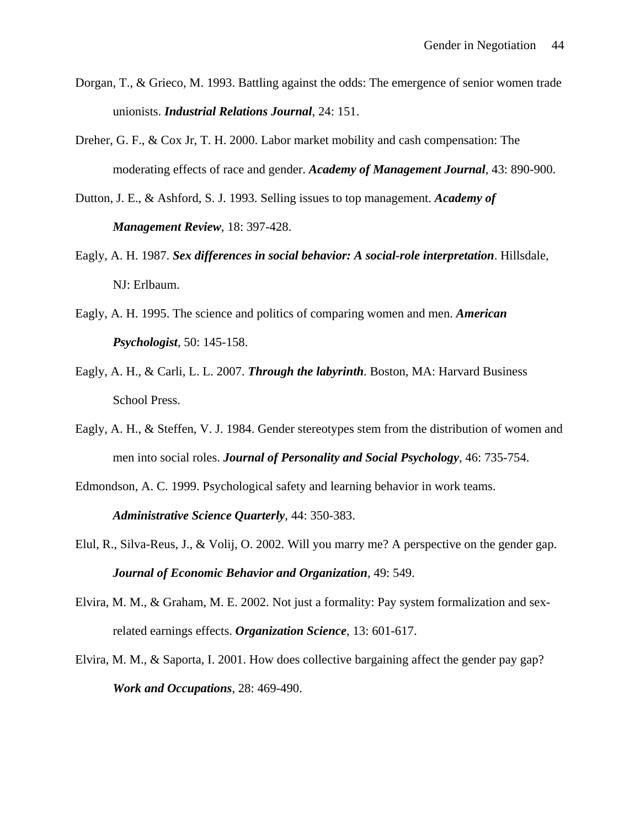- Dorgan, T., & Grieco, M. 1993. Battling against the odds: The emergence of senior women trade unionists. *Industrial Relations Journal*, 24: 151.
- Dreher, G. F., & Cox Jr, T. H. 2000. Labor market mobility and cash compensation: The moderating effects of race and gender. *Academy of Management Journal*, 43: 890-900.
- Dutton, J. E., & Ashford, S. J. 1993. Selling issues to top management. *Academy of Management Review*, 18: 397-428.
- Eagly, A. H. 1987. *Sex differences in social behavior: A social-role interpretation*. Hillsdale, NJ: Erlbaum.
- Eagly, A. H. 1995. The science and politics of comparing women and men. *American Psychologist*, 50: 145-158.
- Eagly, A. H., & Carli, L. L. 2007. *Through the labyrinth*. Boston, MA: Harvard Business School Press.
- Eagly, A. H., & Steffen, V. J. 1984. Gender stereotypes stem from the distribution of women and men into social roles. *Journal of Personality and Social Psychology*, 46: 735-754.
- Edmondson, A. C. 1999. Psychological safety and learning behavior in work teams. *Administrative Science Quarterly*, 44: 350-383.
- Elul, R., Silva-Reus, J., & Volij, O. 2002. Will you marry me? A perspective on the gender gap. *Journal of Economic Behavior and Organization*, 49: 549.
- Elvira, M. M., & Graham, M. E. 2002. Not just a formality: Pay system formalization and sexrelated earnings effects. *Organization Science*, 13: 601-617.
- Elvira, M. M., & Saporta, I. 2001. How does collective bargaining affect the gender pay gap? *Work and Occupations*, 28: 469-490.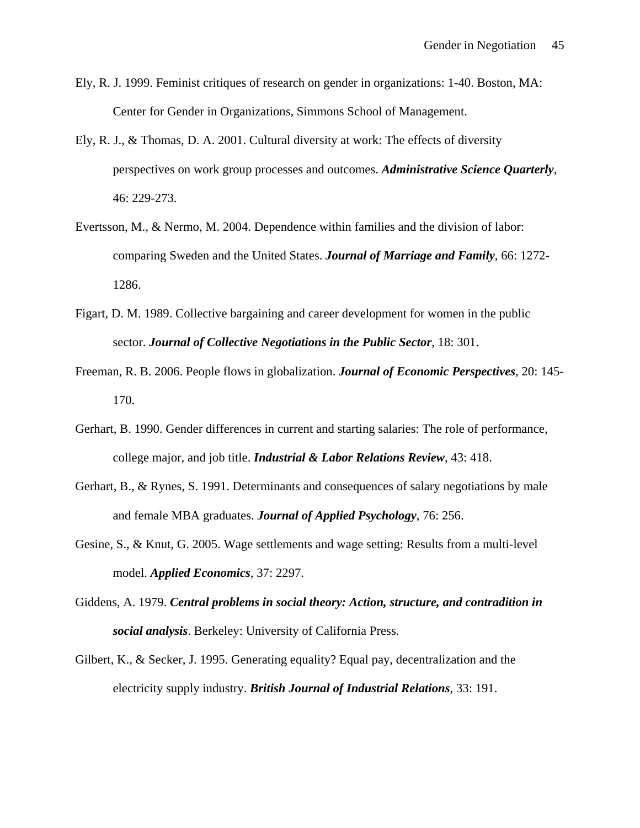- Ely, R. J. 1999. Feminist critiques of research on gender in organizations: 1-40. Boston, MA: Center for Gender in Organizations, Simmons School of Management.
- Ely, R. J., & Thomas, D. A. 2001. Cultural diversity at work: The effects of diversity perspectives on work group processes and outcomes. *Administrative Science Quarterly*, 46: 229-273.
- Evertsson, M., & Nermo, M. 2004. Dependence within families and the division of labor: comparing Sweden and the United States. *Journal of Marriage and Family*, 66: 1272- 1286.
- Figart, D. M. 1989. Collective bargaining and career development for women in the public sector. *Journal of Collective Negotiations in the Public Sector*, 18: 301.
- Freeman, R. B. 2006. People flows in globalization. *Journal of Economic Perspectives*, 20: 145- 170.
- Gerhart, B. 1990. Gender differences in current and starting salaries: The role of performance, college major, and job title. *Industrial & Labor Relations Review*, 43: 418.
- Gerhart, B., & Rynes, S. 1991. Determinants and consequences of salary negotiations by male and female MBA graduates. *Journal of Applied Psychology*, 76: 256.
- Gesine, S., & Knut, G. 2005. Wage settlements and wage setting: Results from a multi-level model. *Applied Economics*, 37: 2297.
- Giddens, A. 1979. *Central problems in social theory: Action, structure, and contradition in social analysis*. Berkeley: University of California Press.
- Gilbert, K., & Secker, J. 1995. Generating equality? Equal pay, decentralization and the electricity supply industry. *British Journal of Industrial Relations*, 33: 191.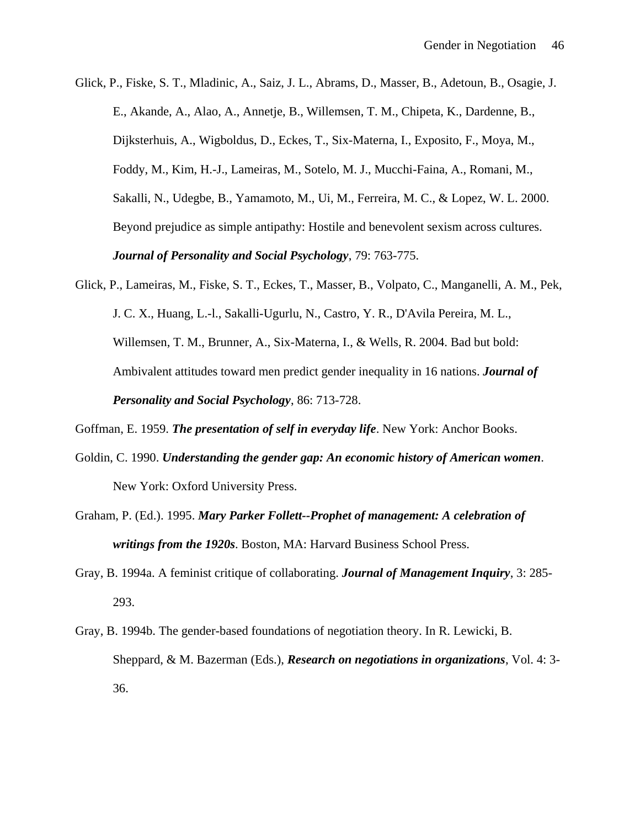Glick, P., Fiske, S. T., Mladinic, A., Saiz, J. L., Abrams, D., Masser, B., Adetoun, B., Osagie, J. E., Akande, A., Alao, A., Annetje, B., Willemsen, T. M., Chipeta, K., Dardenne, B., Dijksterhuis, A., Wigboldus, D., Eckes, T., Six-Materna, I., Exposito, F., Moya, M., Foddy, M., Kim, H.-J., Lameiras, M., Sotelo, M. J., Mucchi-Faina, A., Romani, M., Sakalli, N., Udegbe, B., Yamamoto, M., Ui, M., Ferreira, M. C., & Lopez, W. L. 2000. Beyond prejudice as simple antipathy: Hostile and benevolent sexism across cultures. *Journal of Personality and Social Psychology*, 79: 763-775.

Glick, P., Lameiras, M., Fiske, S. T., Eckes, T., Masser, B., Volpato, C., Manganelli, A. M., Pek, J. C. X., Huang, L.-l., Sakalli-Ugurlu, N., Castro, Y. R., D'Avila Pereira, M. L., Willemsen, T. M., Brunner, A., Six-Materna, I., & Wells, R. 2004. Bad but bold: Ambivalent attitudes toward men predict gender inequality in 16 nations. *Journal of Personality and Social Psychology*, 86: 713-728.

- Goldin, C. 1990. *Understanding the gender gap: An economic history of American women*. New York: Oxford University Press.
- Graham, P. (Ed.). 1995. *Mary Parker Follett--Prophet of management: A celebration of writings from the 1920s*. Boston, MA: Harvard Business School Press.
- Gray, B. 1994a. A feminist critique of collaborating. *Journal of Management Inquiry*, 3: 285- 293.
- Gray, B. 1994b. The gender-based foundations of negotiation theory. In R. Lewicki, B. Sheppard, & M. Bazerman (Eds.), *Research on negotiations in organizations*, Vol. 4: 3- 36.

Goffman, E. 1959. *The presentation of self in everyday life*. New York: Anchor Books.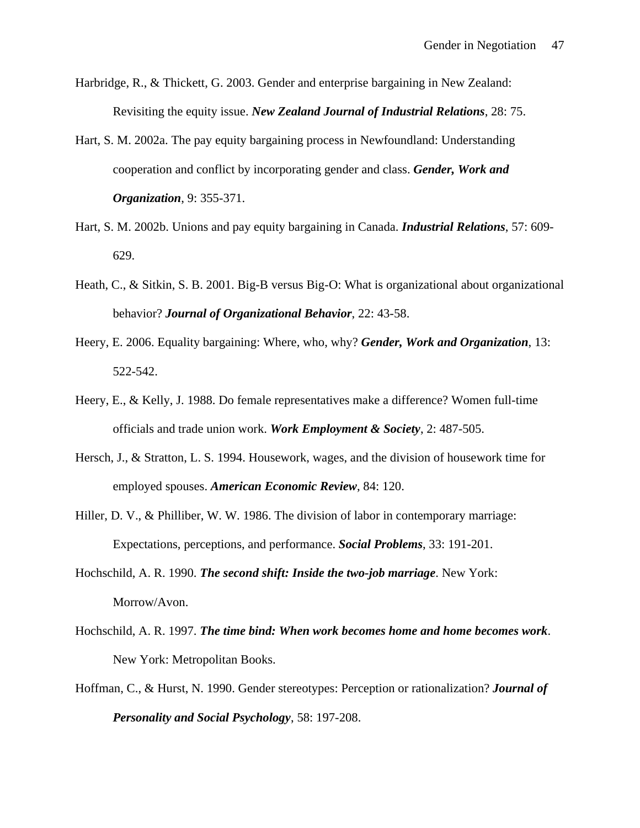- Harbridge, R., & Thickett, G. 2003. Gender and enterprise bargaining in New Zealand: Revisiting the equity issue. *New Zealand Journal of Industrial Relations*, 28: 75.
- Hart, S. M. 2002a. The pay equity bargaining process in Newfoundland: Understanding cooperation and conflict by incorporating gender and class. *Gender, Work and Organization*, 9: 355-371.
- Hart, S. M. 2002b. Unions and pay equity bargaining in Canada. *Industrial Relations*, 57: 609- 629.
- Heath, C., & Sitkin, S. B. 2001. Big-B versus Big-O: What is organizational about organizational behavior? *Journal of Organizational Behavior*, 22: 43-58.
- Heery, E. 2006. Equality bargaining: Where, who, why? *Gender, Work and Organization*, 13: 522-542.
- Heery, E., & Kelly, J. 1988. Do female representatives make a difference? Women full-time officials and trade union work. *Work Employment & Society*, 2: 487-505.
- Hersch, J., & Stratton, L. S. 1994. Housework, wages, and the division of housework time for employed spouses. *American Economic Review*, 84: 120.
- Hiller, D. V., & Philliber, W. W. 1986. The division of labor in contemporary marriage: Expectations, perceptions, and performance. *Social Problems*, 33: 191-201.
- Hochschild, A. R. 1990. *The second shift: Inside the two-job marriage*. New York: Morrow/Avon.
- Hochschild, A. R. 1997. *The time bind: When work becomes home and home becomes work*. New York: Metropolitan Books.
- Hoffman, C., & Hurst, N. 1990. Gender stereotypes: Perception or rationalization? *Journal of Personality and Social Psychology*, 58: 197-208.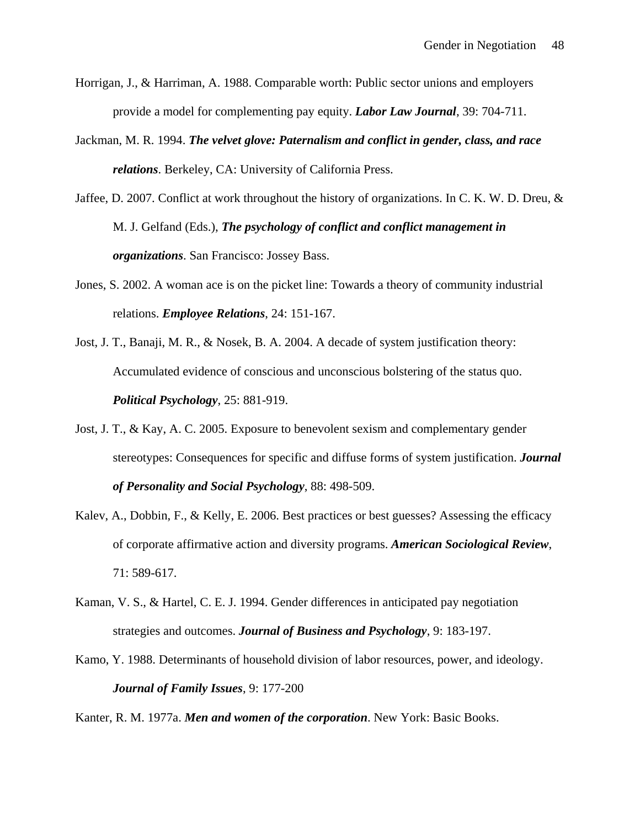- Horrigan, J., & Harriman, A. 1988. Comparable worth: Public sector unions and employers provide a model for complementing pay equity. *Labor Law Journal*, 39: 704-711.
- Jackman, M. R. 1994. *The velvet glove: Paternalism and conflict in gender, class, and race relations*. Berkeley, CA: University of California Press.
- Jaffee, D. 2007. Conflict at work throughout the history of organizations. In C. K. W. D. Dreu, & M. J. Gelfand (Eds.), *The psychology of conflict and conflict management in organizations*. San Francisco: Jossey Bass.
- Jones, S. 2002. A woman ace is on the picket line: Towards a theory of community industrial relations. *Employee Relations*, 24: 151-167.
- Jost, J. T., Banaji, M. R., & Nosek, B. A. 2004. A decade of system justification theory: Accumulated evidence of conscious and unconscious bolstering of the status quo. *Political Psychology*, 25: 881-919.
- Jost, J. T., & Kay, A. C. 2005. Exposure to benevolent sexism and complementary gender stereotypes: Consequences for specific and diffuse forms of system justification. *Journal of Personality and Social Psychology*, 88: 498-509.
- Kalev, A., Dobbin, F., & Kelly, E. 2006. Best practices or best guesses? Assessing the efficacy of corporate affirmative action and diversity programs. *American Sociological Review*, 71: 589-617.
- Kaman, V. S., & Hartel, C. E. J. 1994. Gender differences in anticipated pay negotiation strategies and outcomes. *Journal of Business and Psychology*, 9: 183-197.
- Kamo, Y. 1988. Determinants of household division of labor resources, power, and ideology. *Journal of Family Issues*, 9: 177-200

Kanter, R. M. 1977a. *Men and women of the corporation*. New York: Basic Books.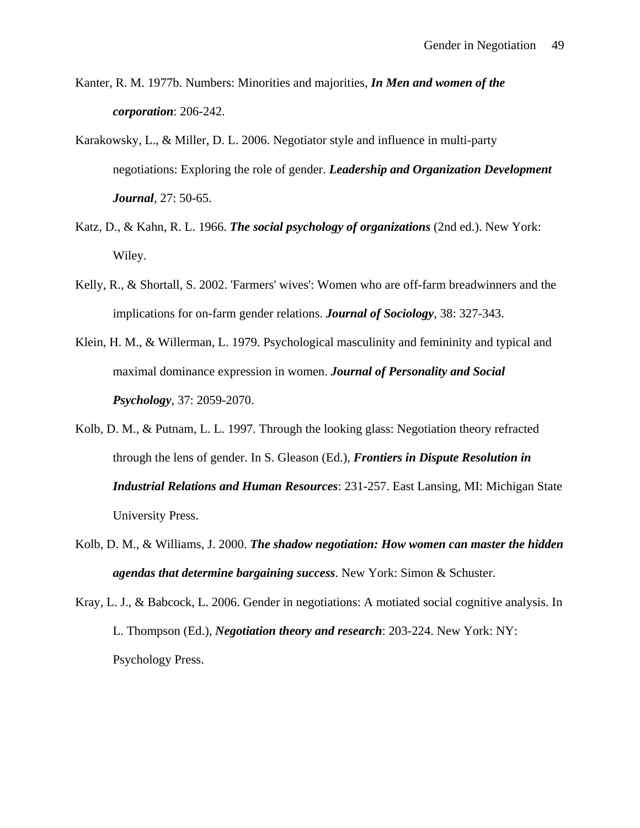Kanter, R. M. 1977b. Numbers: Minorities and majorities, *In Men and women of the corporation*: 206-242.

- Karakowsky, L., & Miller, D. L. 2006. Negotiator style and influence in multi-party negotiations: Exploring the role of gender. *Leadership and Organization Development Journal*, 27: 50-65.
- Katz, D., & Kahn, R. L. 1966. *The social psychology of organizations* (2nd ed.). New York: Wiley.
- Kelly, R., & Shortall, S. 2002. 'Farmers' wives': Women who are off-farm breadwinners and the implications for on-farm gender relations. *Journal of Sociology*, 38: 327-343.
- Klein, H. M., & Willerman, L. 1979. Psychological masculinity and femininity and typical and maximal dominance expression in women. *Journal of Personality and Social Psychology*, 37: 2059-2070.
- Kolb, D. M., & Putnam, L. L. 1997. Through the looking glass: Negotiation theory refracted through the lens of gender. In S. Gleason (Ed.), *Frontiers in Dispute Resolution in Industrial Relations and Human Resources*: 231-257. East Lansing, MI: Michigan State University Press.
- Kolb, D. M., & Williams, J. 2000. *The shadow negotiation: How women can master the hidden agendas that determine bargaining success*. New York: Simon & Schuster.
- Kray, L. J., & Babcock, L. 2006. Gender in negotiations: A motiated social cognitive analysis. In L. Thompson (Ed.), *Negotiation theory and research*: 203-224. New York: NY: Psychology Press.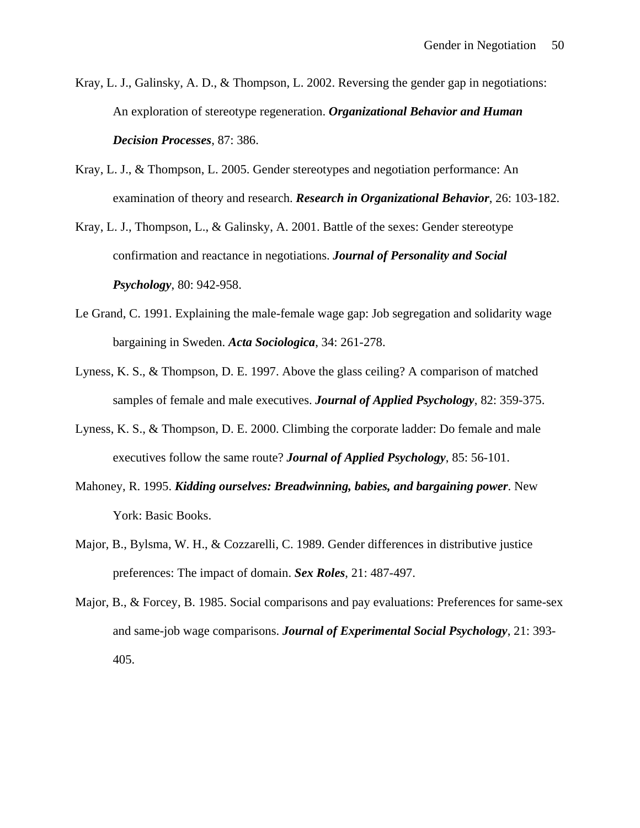- Kray, L. J., Galinsky, A. D., & Thompson, L. 2002. Reversing the gender gap in negotiations: An exploration of stereotype regeneration. *Organizational Behavior and Human Decision Processes*, 87: 386.
- Kray, L. J., & Thompson, L. 2005. Gender stereotypes and negotiation performance: An examination of theory and research. *Research in Organizational Behavior*, 26: 103-182.

Kray, L. J., Thompson, L., & Galinsky, A. 2001. Battle of the sexes: Gender stereotype confirmation and reactance in negotiations. *Journal of Personality and Social Psychology*, 80: 942-958.

- Le Grand, C. 1991. Explaining the male-female wage gap: Job segregation and solidarity wage bargaining in Sweden. *Acta Sociologica*, 34: 261-278.
- Lyness, K. S., & Thompson, D. E. 1997. Above the glass ceiling? A comparison of matched samples of female and male executives. *Journal of Applied Psychology*, 82: 359-375.
- Lyness, K. S., & Thompson, D. E. 2000. Climbing the corporate ladder: Do female and male executives follow the same route? *Journal of Applied Psychology*, 85: 56-101.
- Mahoney, R. 1995. *Kidding ourselves: Breadwinning, babies, and bargaining power*. New York: Basic Books.
- Major, B., Bylsma, W. H., & Cozzarelli, C. 1989. Gender differences in distributive justice preferences: The impact of domain. *Sex Roles*, 21: 487-497.
- Major, B., & Forcey, B. 1985. Social comparisons and pay evaluations: Preferences for same-sex and same-job wage comparisons. *Journal of Experimental Social Psychology*, 21: 393- 405.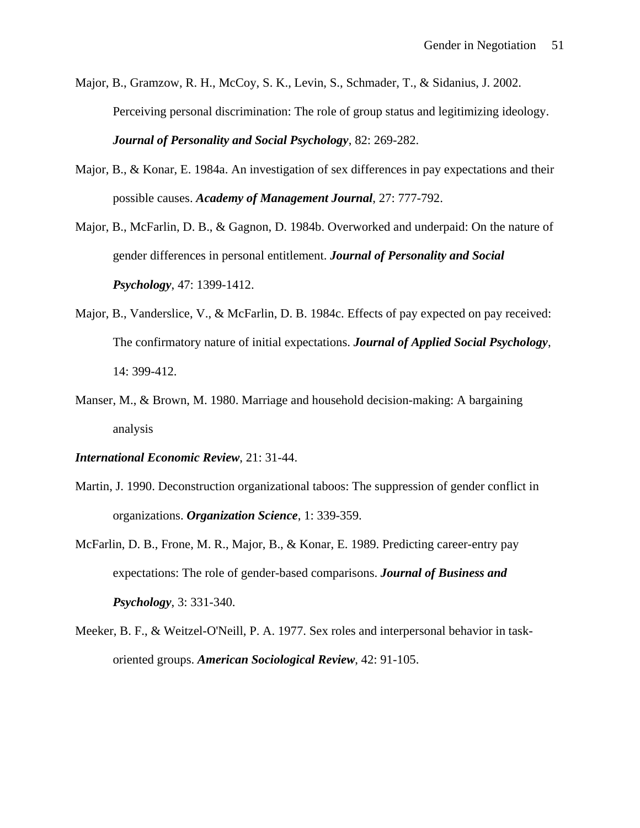- Major, B., Gramzow, R. H., McCoy, S. K., Levin, S., Schmader, T., & Sidanius, J. 2002. Perceiving personal discrimination: The role of group status and legitimizing ideology. *Journal of Personality and Social Psychology*, 82: 269-282.
- Major, B., & Konar, E. 1984a. An investigation of sex differences in pay expectations and their possible causes. *Academy of Management Journal*, 27: 777-792.
- Major, B., McFarlin, D. B., & Gagnon, D. 1984b. Overworked and underpaid: On the nature of gender differences in personal entitlement. *Journal of Personality and Social Psychology*, 47: 1399-1412.
- Major, B., Vanderslice, V., & McFarlin, D. B. 1984c. Effects of pay expected on pay received: The confirmatory nature of initial expectations. *Journal of Applied Social Psychology*, 14: 399-412.
- Manser, M., & Brown, M. 1980. Marriage and household decision-making: A bargaining analysis
- *International Economic Review*, 21: 31-44.
- Martin, J. 1990. Deconstruction organizational taboos: The suppression of gender conflict in organizations. *Organization Science*, 1: 339-359.
- McFarlin, D. B., Frone, M. R., Major, B., & Konar, E. 1989. Predicting career-entry pay expectations: The role of gender-based comparisons. *Journal of Business and Psychology*, 3: 331-340.
- Meeker, B. F., & Weitzel-O'Neill, P. A. 1977. Sex roles and interpersonal behavior in taskoriented groups. *American Sociological Review*, 42: 91-105.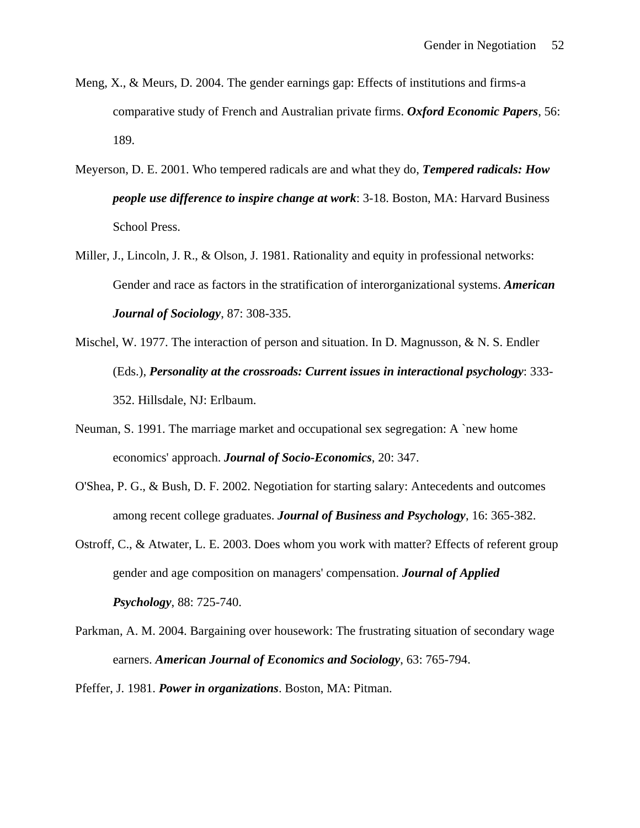- Meng, X., & Meurs, D. 2004. The gender earnings gap: Effects of institutions and firms-a comparative study of French and Australian private firms. *Oxford Economic Papers*, 56: 189.
- Meyerson, D. E. 2001. Who tempered radicals are and what they do, *Tempered radicals: How people use difference to inspire change at work*: 3-18. Boston, MA: Harvard Business School Press.
- Miller, J., Lincoln, J. R., & Olson, J. 1981. Rationality and equity in professional networks: Gender and race as factors in the stratification of interorganizational systems. *American Journal of Sociology*, 87: 308-335.
- Mischel, W. 1977. The interaction of person and situation. In D. Magnusson, & N. S. Endler (Eds.), *Personality at the crossroads: Current issues in interactional psychology*: 333- 352. Hillsdale, NJ: Erlbaum.
- Neuman, S. 1991. The marriage market and occupational sex segregation: A `new home economics' approach. *Journal of Socio-Economics*, 20: 347.
- O'Shea, P. G., & Bush, D. F. 2002. Negotiation for starting salary: Antecedents and outcomes among recent college graduates. *Journal of Business and Psychology*, 16: 365-382.
- Ostroff, C., & Atwater, L. E. 2003. Does whom you work with matter? Effects of referent group gender and age composition on managers' compensation. *Journal of Applied Psychology*, 88: 725-740.
- Parkman, A. M. 2004. Bargaining over housework: The frustrating situation of secondary wage earners. *American Journal of Economics and Sociology*, 63: 765-794.

Pfeffer, J. 1981. *Power in organizations*. Boston, MA: Pitman.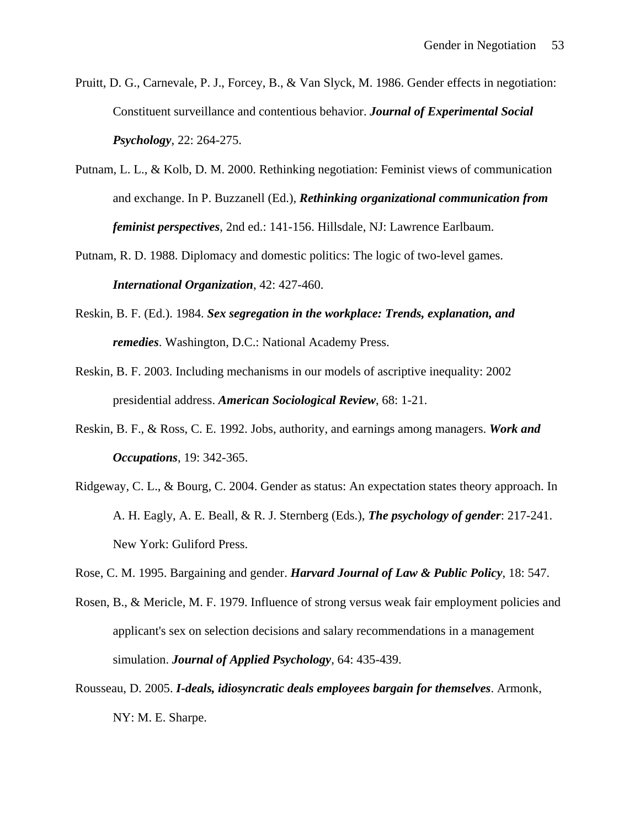- Pruitt, D. G., Carnevale, P. J., Forcey, B., & Van Slyck, M. 1986. Gender effects in negotiation: Constituent surveillance and contentious behavior. *Journal of Experimental Social Psychology*, 22: 264-275.
- Putnam, L. L., & Kolb, D. M. 2000. Rethinking negotiation: Feminist views of communication and exchange. In P. Buzzanell (Ed.), *Rethinking organizational communication from feminist perspectives*, 2nd ed.: 141-156. Hillsdale, NJ: Lawrence Earlbaum.
- Putnam, R. D. 1988. Diplomacy and domestic politics: The logic of two-level games. *International Organization*, 42: 427-460.
- Reskin, B. F. (Ed.). 1984. *Sex segregation in the workplace: Trends, explanation, and remedies*. Washington, D.C.: National Academy Press.
- Reskin, B. F. 2003. Including mechanisms in our models of ascriptive inequality: 2002 presidential address. *American Sociological Review*, 68: 1-21.
- Reskin, B. F., & Ross, C. E. 1992. Jobs, authority, and earnings among managers. *Work and Occupations*, 19: 342-365.
- Ridgeway, C. L., & Bourg, C. 2004. Gender as status: An expectation states theory approach. In A. H. Eagly, A. E. Beall, & R. J. Sternberg (Eds.), *The psychology of gender*: 217-241. New York: Guliford Press.
- Rose, C. M. 1995. Bargaining and gender. *Harvard Journal of Law & Public Policy*, 18: 547.
- Rosen, B., & Mericle, M. F. 1979. Influence of strong versus weak fair employment policies and applicant's sex on selection decisions and salary recommendations in a management simulation. *Journal of Applied Psychology*, 64: 435-439.
- Rousseau, D. 2005. *I-deals, idiosyncratic deals employees bargain for themselves*. Armonk, NY: M. E. Sharpe.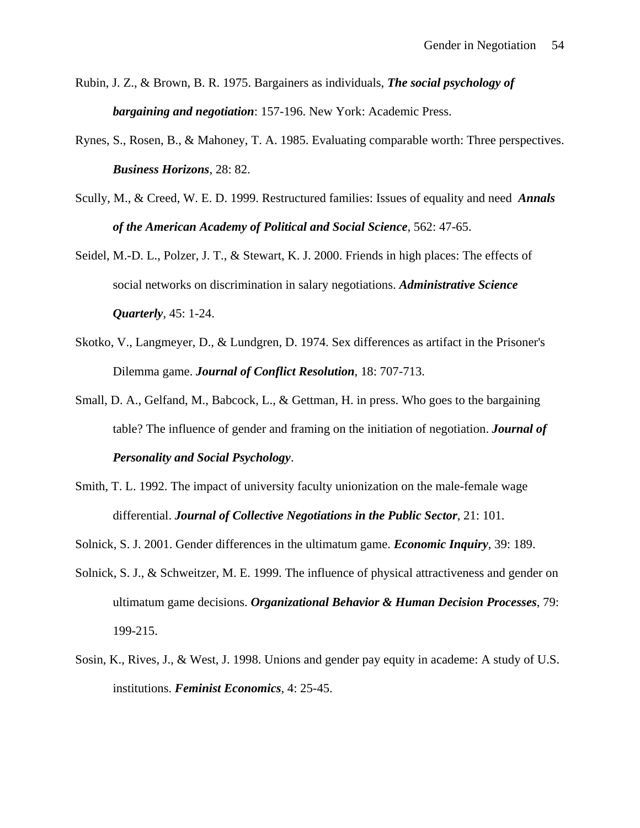- Rubin, J. Z., & Brown, B. R. 1975. Bargainers as individuals, *The social psychology of bargaining and negotiation*: 157-196. New York: Academic Press.
- Rynes, S., Rosen, B., & Mahoney, T. A. 1985. Evaluating comparable worth: Three perspectives. *Business Horizons*, 28: 82.
- Scully, M., & Creed, W. E. D. 1999. Restructured families: Issues of equality and need *Annals of the American Academy of Political and Social Science*, 562: 47-65.
- Seidel, M.-D. L., Polzer, J. T., & Stewart, K. J. 2000. Friends in high places: The effects of social networks on discrimination in salary negotiations. *Administrative Science Quarterly*, 45: 1-24.
- Skotko, V., Langmeyer, D., & Lundgren, D. 1974. Sex differences as artifact in the Prisoner's Dilemma game. *Journal of Conflict Resolution*, 18: 707-713.
- Small, D. A., Gelfand, M., Babcock, L., & Gettman, H. in press. Who goes to the bargaining table? The influence of gender and framing on the initiation of negotiation. *Journal of Personality and Social Psychology*.
- Smith, T. L. 1992. The impact of university faculty unionization on the male-female wage differential. *Journal of Collective Negotiations in the Public Sector*, 21: 101.
- Solnick, S. J. 2001. Gender differences in the ultimatum game. *Economic Inquiry*, 39: 189.
- Solnick, S. J., & Schweitzer, M. E. 1999. The influence of physical attractiveness and gender on ultimatum game decisions. *Organizational Behavior & Human Decision Processes*, 79: 199-215.
- Sosin, K., Rives, J., & West, J. 1998. Unions and gender pay equity in academe: A study of U.S. institutions. *Feminist Economics*, 4: 25-45.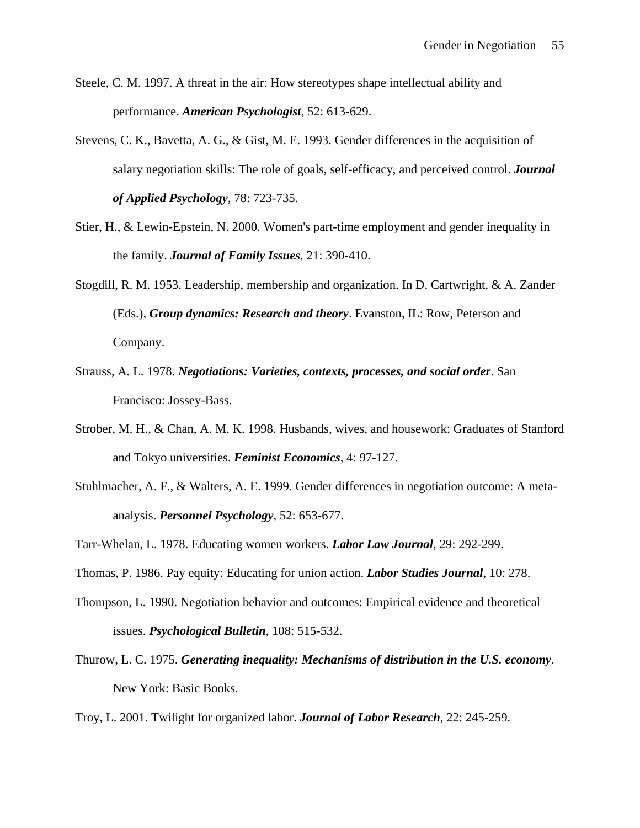- Steele, C. M. 1997. A threat in the air: How stereotypes shape intellectual ability and performance. *American Psychologist*, 52: 613-629.
- Stevens, C. K., Bavetta, A. G., & Gist, M. E. 1993. Gender differences in the acquisition of salary negotiation skills: The role of goals, self-efficacy, and perceived control. *Journal of Applied Psychology*, 78: 723-735.
- Stier, H., & Lewin-Epstein, N. 2000. Women's part-time employment and gender inequality in the family. *Journal of Family Issues*, 21: 390-410.
- Stogdill, R. M. 1953. Leadership, membership and organization. In D. Cartwright, & A. Zander (Eds.), *Group dynamics: Research and theory*. Evanston, IL: Row, Peterson and Company.
- Strauss, A. L. 1978. *Negotiations: Varieties, contexts, processes, and social order*. San Francisco: Jossey-Bass.
- Strober, M. H., & Chan, A. M. K. 1998. Husbands, wives, and housework: Graduates of Stanford and Tokyo universities. *Feminist Economics*, 4: 97-127.
- Stuhlmacher, A. F., & Walters, A. E. 1999. Gender differences in negotiation outcome: A metaanalysis. *Personnel Psychology*, 52: 653-677.
- Tarr-Whelan, L. 1978. Educating women workers. *Labor Law Journal*, 29: 292-299.
- Thomas, P. 1986. Pay equity: Educating for union action. *Labor Studies Journal*, 10: 278.
- Thompson, L. 1990. Negotiation behavior and outcomes: Empirical evidence and theoretical issues. *Psychological Bulletin*, 108: 515-532.
- Thurow, L. C. 1975. *Generating inequality: Mechanisms of distribution in the U.S. economy*. New York: Basic Books.
- Troy, L. 2001. Twilight for organized labor. *Journal of Labor Research*, 22: 245-259.